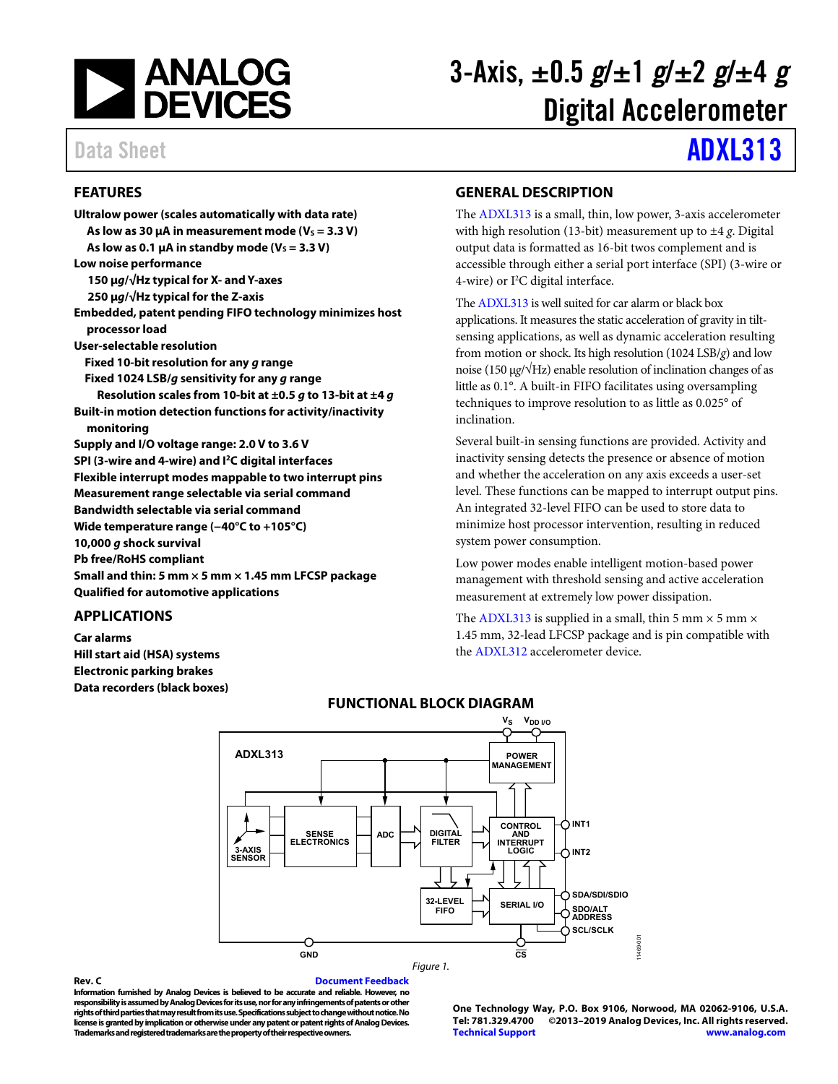

# 3-Axis,  $\pm 0.5$  g/ $\pm 1$  g/ $\pm 2$  g/ $\pm 4$  g Digital Accelerometer

# Data Sheet **[ADXL313](https://www.analog.com/adxl313?doc=adxl313.pdf)**

### <span id="page-0-0"></span>**FEATURES**

| Ultralow power (scales automatically with data rate)                |
|---------------------------------------------------------------------|
| As low as 30 $\mu$ A in measurement mode (V <sub>s</sub> = 3.3 V)   |
| As low as 0.1 $\mu$ A in standby mode (V <sub>s</sub> = 3.3 V)      |
| Low noise performance                                               |
| 150 µg/√Hz typical for X- and Y-axes                                |
| 250 $\mu$ g/ $\sqrt{Hz}$ typical for the Z-axis                     |
| Embedded, patent pending FIFO technology minimizes host             |
| processor load                                                      |
| User-selectable resolution                                          |
| Fixed 10-bit resolution for any g range                             |
| Fixed 1024 LSB/g sensitivity for any g range                        |
| Resolution scales from 10-bit at $\pm 0.5$ g to 13-bit at $\pm 4$ g |
| Built-in motion detection functions for activity/inactivity         |
| monitoring                                                          |
| Supply and I/O voltage range: 2.0 V to 3.6 V                        |
| SPI (3-wire and 4-wire) and I <sup>2</sup> C digital interfaces     |
| Flexible interrupt modes mappable to two interrupt pins             |
| Measurement range selectable via serial command                     |
| <b>Bandwidth selectable via serial command</b>                      |
| Wide temperature range $(-40^{\circ}$ C to $+105^{\circ}$ C)        |
| 10,000 g shock survival                                             |
| <b>Pb free/RoHS compliant</b>                                       |
| Small and thin: 5 mm $\times$ 5 mm $\times$ 1.45 mm LFCSP package   |
| <b>Oualified for automotive applications</b>                        |

#### <span id="page-0-1"></span>**APPLICATIONS**

<span id="page-0-3"></span>**Car alarms Hill start aid (HSA) systems Electronic parking brakes Data recorders (black boxes)** 

#### <span id="page-0-2"></span>**GENERAL DESCRIPTION**

The [ADXL313 i](https://www.analog.com/adxl313?doc=adxl313.pdf)s a small, thin, low power, 3-axis accelerometer with high resolution (13-bit) measurement up to ±4 *g*. Digital output data is formatted as 16-bit twos complement and is accessible through either a serial port interface (SPI) (3-wire or 4-wire) or  $I^2C$  digital interface.

Th[e ADXL313](https://www.analog.com/adxl313?doc=adxl313.pdf) is well suited for car alarm or black box applications. It measures the static acceleration of gravity in tiltsensing applications, as well as dynamic acceleration resulting from motion or shock. Its high resolution (1024 LSB/*g*) and low noise (150 μ*g*/√Hz) enable resolution of inclination changes of as little as 0.1°. A built-in FIFO facilitates using oversampling techniques to improve resolution to as little as 0.025° of inclination.

Several built-in sensing functions are provided. Activity and inactivity sensing detects the presence or absence of motion and whether the acceleration on any axis exceeds a user-set level. These functions can be mapped to interrupt output pins. An integrated 32-level FIFO can be used to store data to minimize host processor intervention, resulting in reduced system power consumption.

Low power modes enable intelligent motion-based power management with threshold sensing and active acceleration measurement at extremely low power dissipation.

The [ADXL313](https://www.analog.com/adxl313?doc=adxl313.pdf) is supplied in a small, thin 5 mm  $\times$  5 mm  $\times$ 1.45 mm, 32-lead LFCSP package and is pin compatible with the [ADXL312](https://www.analog.com/ADXL312?doc=ADXL313.pdf) accelerometer device.



#### **FUNCTIONAL BLOCK DIAGRAM**

**Rev. C [Document Feedback](https://form.analog.com/Form_Pages/feedback/documentfeedback.aspx?doc=ADXL313.pdf&product=ADXL313&rev=C)** 

**Information furnished by Analog Devices is believed to be accurate and reliable. However, no responsibility is assumed by Analog Devices for its use, nor for any infringements of patents or other rights of third parties that may result from its use. Specifications subject to change without notice. No license is granted by implication or otherwise under any patent or patent rights of Analog Devices. Trademarks and registered trademarks are the property of their respective owners.** 

**One Technology Way, P.O. Box 9106, Norwood, MA 02062-9106, U.S.A. Tel: 781.329.4700 ©2013–2019 Analog Devices, Inc. All rights reserved. [Technical Support](https://www.analog.com/en/content/technical_support_page/fca.html) [www.analog.com](https://www.analog.com/)**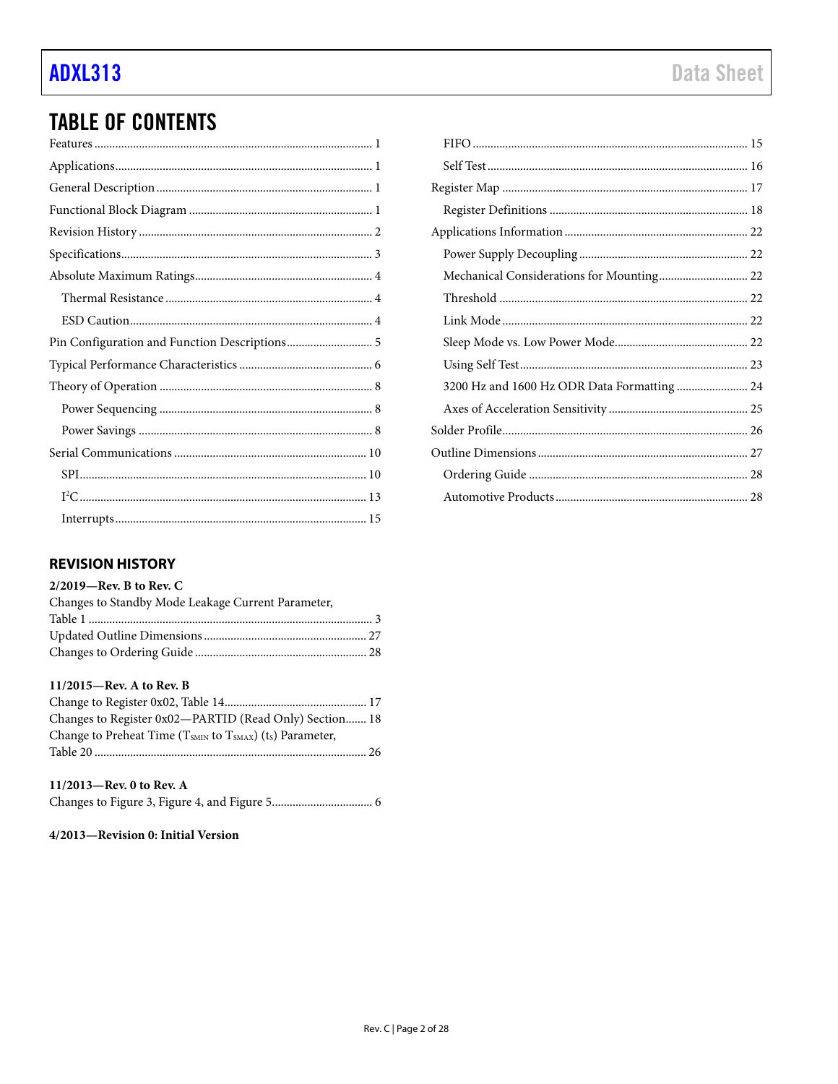## **TABLE OF CONTENTS**

| Pin Configuration and Function Descriptions 5 |
|-----------------------------------------------|
|                                               |
|                                               |
|                                               |
|                                               |
|                                               |
|                                               |
|                                               |
|                                               |

#### <span id="page-1-0"></span>**REVISION HISTORY**

#### 2/2019-Rev. B to Rev. C

| Changes to Standby Mode Leakage Current Parameter, |  |
|----------------------------------------------------|--|
|                                                    |  |
|                                                    |  |
|                                                    |  |
|                                                    |  |
| $11/2015$ —Rev. A to Rev. B                        |  |

| Changes to Register 0x02-PARTID (Read Only) Section 18              |  |
|---------------------------------------------------------------------|--|
| Change to Preheat Time ( $T_{SMIN}$ to $T_{SMAX}$ ) (ts) Parameter, |  |
|                                                                     |  |

#### 11/2013-Rev. 0 to Rev. A

|--|--|--|--|--|--|

#### 4/2013-Revision 0: Initial Version

| Mechanical Considerations for Mounting 22   |  |
|---------------------------------------------|--|
|                                             |  |
|                                             |  |
|                                             |  |
|                                             |  |
| 3200 Hz and 1600 Hz ODR Data Formatting  24 |  |
|                                             |  |
|                                             |  |
|                                             |  |
|                                             |  |
|                                             |  |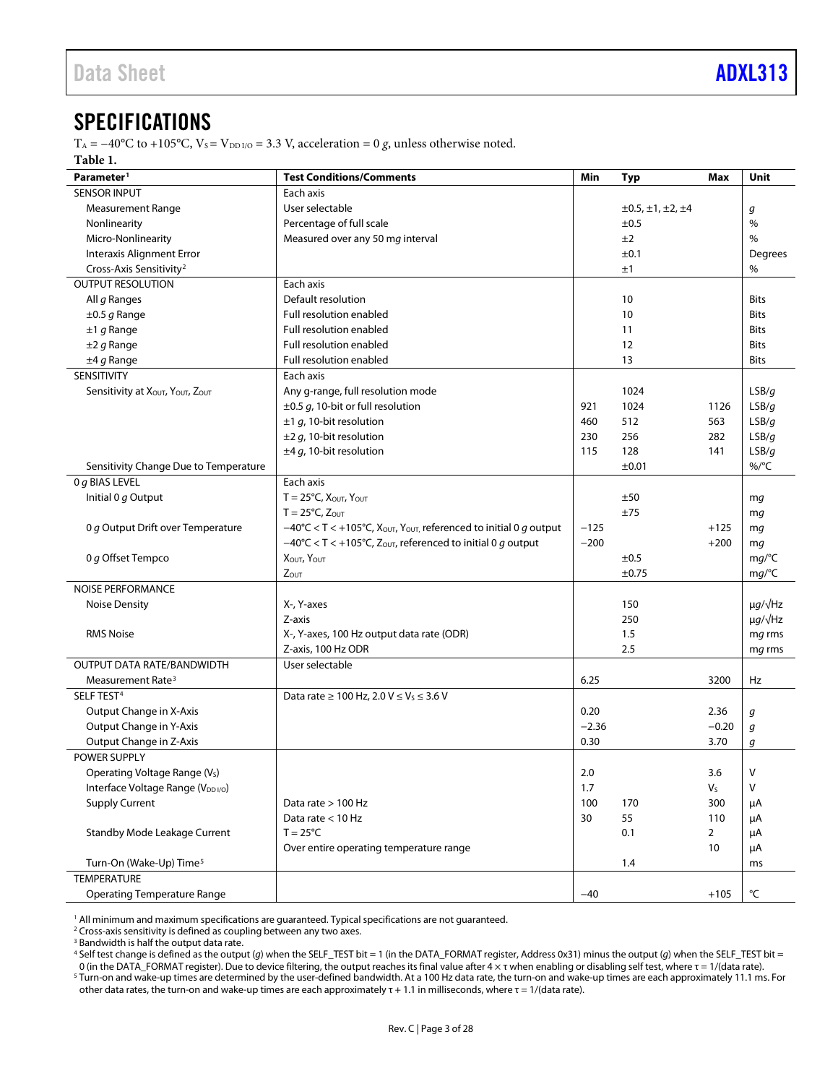### <span id="page-2-0"></span>**SPECIFICATIONS**

T<sub>A</sub> = −40°C to +105°C, V<sub>S</sub> = V<sub>DD I/O</sub> = 3.3 V, acceleration = 0 *g*, unless otherwise noted. **Table 1.**

<span id="page-2-1"></span>

| Parameter <sup>1</sup>                    | <b>Test Conditions/Comments</b>                                                   | Min     | <b>Typ</b>                     | <b>Max</b>     | Unit                |
|-------------------------------------------|-----------------------------------------------------------------------------------|---------|--------------------------------|----------------|---------------------|
| <b>SENSOR INPUT</b>                       | Each axis                                                                         |         |                                |                |                     |
| <b>Measurement Range</b>                  | User selectable                                                                   |         | $\pm 0.5, \pm 1, \pm 2, \pm 4$ |                | g                   |
| Nonlinearity                              | Percentage of full scale                                                          |         | ±0.5                           |                | %                   |
| Micro-Nonlinearity                        | Measured over any 50 mg interval                                                  |         | ±2                             |                | $\%$                |
| Interaxis Alignment Error                 |                                                                                   |         | ±0.1                           |                | Degrees             |
| Cross-Axis Sensitivity <sup>2</sup>       |                                                                                   |         | ±1                             |                | %                   |
| <b>OUTPUT RESOLUTION</b>                  | Each axis                                                                         |         |                                |                |                     |
| All g Ranges                              | Default resolution                                                                |         | 10                             |                | <b>Bits</b>         |
| $\pm 0.5$ g Range                         | Full resolution enabled                                                           |         | 10                             |                | <b>Bits</b>         |
| $±1$ g Range                              | Full resolution enabled                                                           |         | 11                             |                | Bits                |
| $\pm 2$ g Range                           | Full resolution enabled                                                           |         | 12                             |                | Bits                |
| $±4 g$ Range                              | <b>Full resolution enabled</b>                                                    |         | 13                             |                | Bits                |
| <b>SENSITIVITY</b>                        | Each axis                                                                         |         |                                |                |                     |
| Sensitivity at XOUT, YOUT, ZOUT           | Any g-range, full resolution mode                                                 |         | 1024                           |                | LSB/q               |
|                                           | $\pm$ 0.5 g, 10-bit or full resolution                                            | 921     | 1024                           | 1126           | LSB/q               |
|                                           | $\pm$ 1 g, 10-bit resolution                                                      | 460     | 512                            | 563            | LSB/g               |
|                                           | $\pm 2$ g, 10-bit resolution                                                      | 230     | 256                            | 282            | LSB/g               |
|                                           | $\pm$ 4 g, 10-bit resolution                                                      | 115     | 128                            | 141            | LSB/g               |
| Sensitivity Change Due to Temperature     |                                                                                   |         | ±0.01                          |                | %/°C                |
| 0 g BIAS LEVEL                            | Each axis                                                                         |         |                                |                |                     |
| Initial 0 g Output                        | $T = 25^{\circ}C$ , $X_{\text{OUT}}$ , $Y_{\text{OUT}}$                           |         | ±50                            |                | mg                  |
|                                           | $T = 25^{\circ}C$ , $Z_{\text{OUT}}$                                              |         | ±75                            |                | mg                  |
| 0 g Output Drift over Temperature         | $-40^{\circ}$ C < T < +105°C, Xout, Yout, referenced to initial 0 g output        | $-125$  |                                | $+125$         | mg                  |
|                                           | $-40^{\circ}$ C < T < +105°C, Z <sub>OUT</sub> , referenced to initial 0 g output | $-200$  |                                | $+200$         | mg                  |
| 0 g Offset Tempco                         | Χουτ, Υουτ                                                                        |         | ±0.5                           |                | mg/°C               |
|                                           | ZOUT                                                                              |         | ±0.75                          |                | mg/C                |
| <b>NOISE PERFORMANCE</b>                  |                                                                                   |         |                                |                |                     |
| <b>Noise Density</b>                      | X-, Y-axes                                                                        |         | 150                            |                | $\mu g / \sqrt{Hz}$ |
|                                           | Z-axis                                                                            |         | 250                            |                | $\mu g / \sqrt{Hz}$ |
| <b>RMS Noise</b>                          | X-, Y-axes, 100 Hz output data rate (ODR)                                         |         | 1.5                            |                | mg rms              |
|                                           | Z-axis, 100 Hz ODR                                                                |         | 2.5                            |                | mg rms              |
| OUTPUT DATA RATE/BANDWIDTH                | User selectable                                                                   |         |                                |                |                     |
| Measurement Rate <sup>3</sup>             |                                                                                   | 6.25    |                                | 3200           | Hz                  |
| SELF TEST <sup>4</sup>                    | Data rate $\geq 100$ Hz, 2.0 V $\leq$ V <sub>S</sub> $\leq 3.6$ V                 |         |                                |                |                     |
| Output Change in X-Axis                   |                                                                                   | 0.20    |                                | 2.36           | g                   |
| Output Change in Y-Axis                   |                                                                                   | $-2.36$ |                                | $-0.20$        | g                   |
| Output Change in Z-Axis                   |                                                                                   | 0.30    |                                | 3.70           | g                   |
| POWER SUPPLY                              |                                                                                   |         |                                |                |                     |
| Operating Voltage Range (V <sub>s</sub> ) |                                                                                   | 2.0     |                                | 3.6            | V                   |
| Interface Voltage Range (VDD I/O)         |                                                                                   | 1.7     |                                | V <sub>S</sub> | V                   |
| <b>Supply Current</b>                     | Data rate > 100 Hz                                                                | 100     | 170                            | 300            | μA                  |
|                                           | Data rate < 10 Hz                                                                 | 30      | 55                             | 110            | μA                  |
| Standby Mode Leakage Current              | $T = 25^{\circ}C$                                                                 |         | 0.1                            | $\overline{2}$ | μA                  |
|                                           | Over entire operating temperature range                                           |         |                                | 10             | μA                  |
| Turn-On (Wake-Up) Time <sup>5</sup>       |                                                                                   |         | 1.4                            |                | ms                  |
| <b>TEMPERATURE</b>                        |                                                                                   |         |                                |                |                     |
| <b>Operating Temperature Range</b>        |                                                                                   | $-40$   |                                | $+105$         | °C                  |

<sup>1</sup> All minimum and maximum specifications are guaranteed. Typical specifications are not guaranteed.

<sup>2</sup> Cross-axis sensitivity is defined as coupling between any two axes.

<sup>3</sup> Bandwidth is half the output data rate.

<sup>4</sup> Self test change is defined as the output (*g*) when the SELF\_TEST bit = 1 (in the DATA\_FORMAT register, Address 0x31) minus the output (*g*) when the SELF\_TEST bit =

0 (in the DATA\_FORMAT register). Due to device filtering, the output reaches its final value after 4 × τ when enabling or disabling self test, where τ = 1/(data rate).

<sup>5</sup> Turn-on and wake-up times are determined by the user-defined bandwidth. At a 100 Hz data rate, the turn-on and wake-up times are each approximately 11.1 ms. For other data rates, the turn-on and wake-up times are each approximately  $\tau$  + 1.1 in milliseconds, where  $\tau$  = 1/(data rate).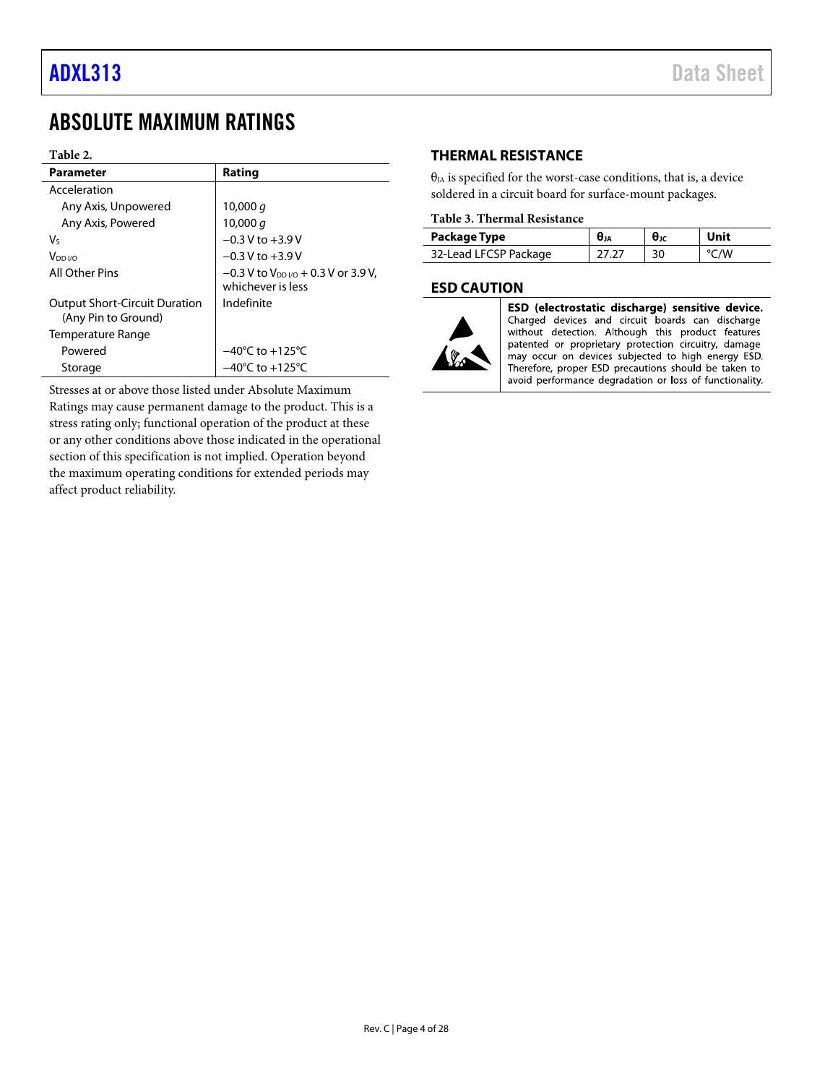### <span id="page-3-0"></span>ABSOLUTE MAXIMUM RATINGS

#### **Table 2.**

| <b>Parameter</b>                                            | Rating                                                                |
|-------------------------------------------------------------|-----------------------------------------------------------------------|
| Acceleration                                                |                                                                       |
| Any Axis, Unpowered                                         | 10,000 a                                                              |
| Any Axis, Powered                                           | 10,000 $q$                                                            |
| V٢                                                          | $-0.3$ V to $+3.9$ V                                                  |
| V <sub>DD I/O</sub>                                         | $-0.3$ V to $+3.9$ V                                                  |
| All Other Pins                                              | $-0.3$ V to V <sub>DDI/0</sub> + 0.3 V or 3.9 V,<br>whichever is less |
| <b>Output Short-Circuit Duration</b><br>(Any Pin to Ground) | Indefinite                                                            |
| Temperature Range                                           |                                                                       |
| Powered                                                     | $-40^{\circ}$ C to $+125^{\circ}$ C                                   |
| Storage                                                     | $-40^{\circ}$ C to $+125^{\circ}$ C                                   |

Stresses at or above those listed under Absolute Maximum Ratings may cause permanent damage to the product. This is a stress rating only; functional operation of the product at these or any other conditions above those indicated in the operational section of this specification is not implied. Operation beyond the maximum operating conditions for extended periods may affect product reliability.

#### <span id="page-3-1"></span>**THERMAL RESISTANCE**

 $\theta_{JA}$  is specified for the worst-case conditions, that is, a device soldered in a circuit board for surface-mount packages.

#### **Table 3. Thermal Resistance**

| Package Type          | UJA | θĸ | Unit |
|-----------------------|-----|----|------|
| 32-Lead LFCSP Package |     | 30 | /W   |

#### <span id="page-3-2"></span>**ESD CAUTION**



ESD (electrostatic discharge) sensitive device. Charged devices and circuit boards can discharge without detection. Although this product features patented or proprietary protection circuitry, damage may occur on devices subjected to high energy ESD. Therefore, proper ESD precautions should be taken to avoid performance degradation or loss of functionality.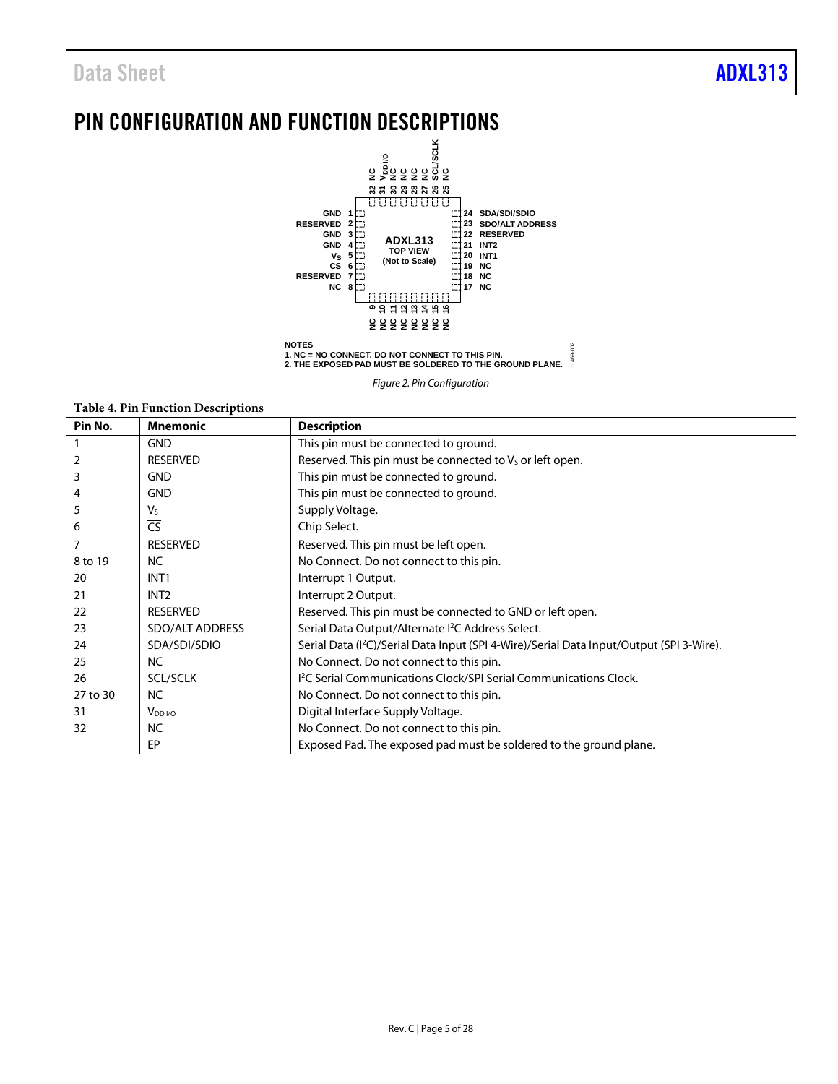## <span id="page-4-0"></span>PIN CONFIGURATION AND FUNCTION DESCRIPTIONS



*Figure 2. Pin Configuration* 

|          | Table 4. PIII Function Descriptions |                                                                                                      |
|----------|-------------------------------------|------------------------------------------------------------------------------------------------------|
| Pin No.  | <b>Mnemonic</b>                     | <b>Description</b>                                                                                   |
|          | <b>GND</b>                          | This pin must be connected to ground.                                                                |
| 2        | <b>RESERVED</b>                     | Reserved. This pin must be connected to $VS$ or left open.                                           |
| 3        | <b>GND</b>                          | This pin must be connected to ground.                                                                |
| 4        | <b>GND</b>                          | This pin must be connected to ground.                                                                |
| 5        | $V_{S}$                             | Supply Voltage.                                                                                      |
| 6        | $\overline{\text{CS}}$              | Chip Select.                                                                                         |
|          | <b>RESERVED</b>                     | Reserved. This pin must be left open.                                                                |
| 8 to 19  | NC.                                 | No Connect. Do not connect to this pin.                                                              |
| 20       | INT <sub>1</sub>                    | Interrupt 1 Output.                                                                                  |
| 21       | INT <sub>2</sub>                    | Interrupt 2 Output.                                                                                  |
| 22       | <b>RESERVED</b>                     | Reserved. This pin must be connected to GND or left open.                                            |
| 23       | SDO/ALT ADDRESS                     | Serial Data Output/Alternate <sup>2</sup> C Address Select.                                          |
| 24       | SDA/SDI/SDIO                        | Serial Data (I <sup>2</sup> C)/Serial Data Input (SPI 4-Wire)/Serial Data Input/Output (SPI 3-Wire). |
| 25       | NC.                                 | No Connect. Do not connect to this pin.                                                              |
| 26       | <b>SCL/SCLK</b>                     | I <sup>2</sup> C Serial Communications Clock/SPI Serial Communications Clock.                        |
| 27 to 30 | <b>NC</b>                           | No Connect. Do not connect to this pin.                                                              |
| 31       | $V_{DD I/O}$                        | Digital Interface Supply Voltage.                                                                    |
| 32       | <b>NC</b>                           | No Connect. Do not connect to this pin.                                                              |
|          | EP                                  | Exposed Pad. The exposed pad must be soldered to the ground plane.                                   |

**Table 4. Pin Function Descriptions**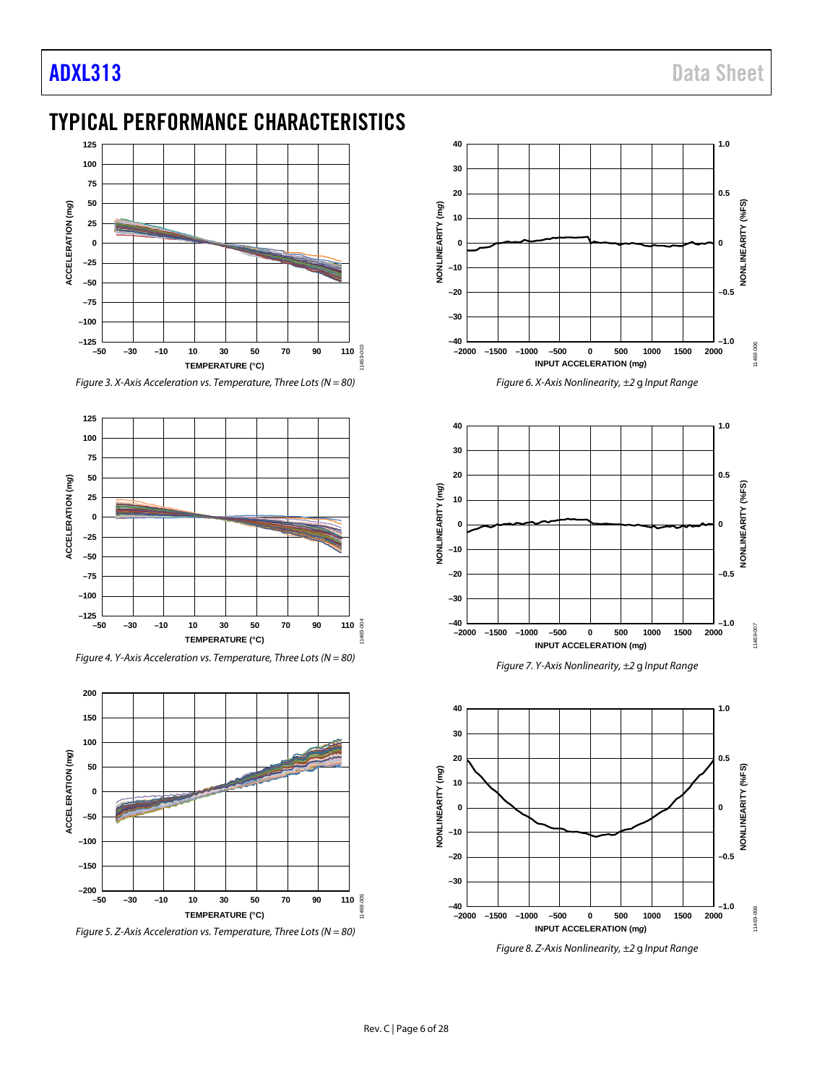## <span id="page-5-0"></span>TYPICAL PERFORMANCE CHARACTERISTICS



*Figure 3. X-Axis Acceleration vs. Temperature, Three Lots (N = 80)*



*Figure 4. Y-Axis Acceleration vs. Temperature, Three Lots (N = 80)*



*Figure 5. Z-Axis Acceleration vs. Temperature, Three Lots (N = 80)*



*Figure 6. X-Axis Nonlinearity, ±2* g *Input Range*







*Figure 8. Z-Axis Nonlinearity, ±2* g *Input Range*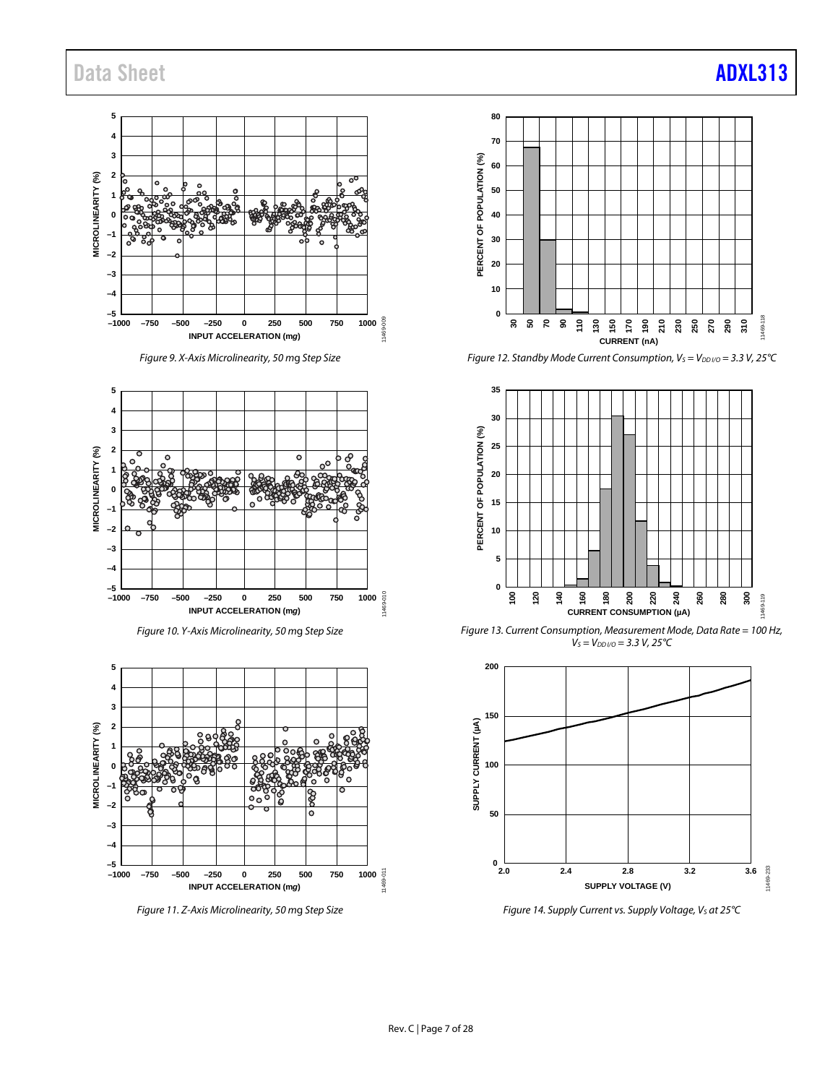**5 4 3** MICROLINEARITY (%) **MICROLINEARITY (%) 2**  $\circ$ **1 BOOK** ತ್ತಿತ್ತೆ **0 –1 –2 –3 –4 –5 INPUT ACCELERATION (m***g***) 11669 250<br>INPUT ACCELERATION (m***g***) –1000 –750 –500 –250 0 250 500 750 1000**

*Figure 9. X-Axis Microlinearity, 50 m*g *Step Size*







*Figure 11. Z-Axis Microlinearity, 50 m*g *Step Size*



*Figure 12. Standby Mode Current Consumption, Vs = V<sub>DD I/O</sub> = 3.3 V, 25°C* 



*Figure 13. Current Consumption, Measurement Mode, Data Rate = 100 Hz,*   $V_S = V_{DD V/O} = 3.3 V, 25°C$ 



*Figure 14. Supply Current vs. Supply Voltage, Vs at 25°C*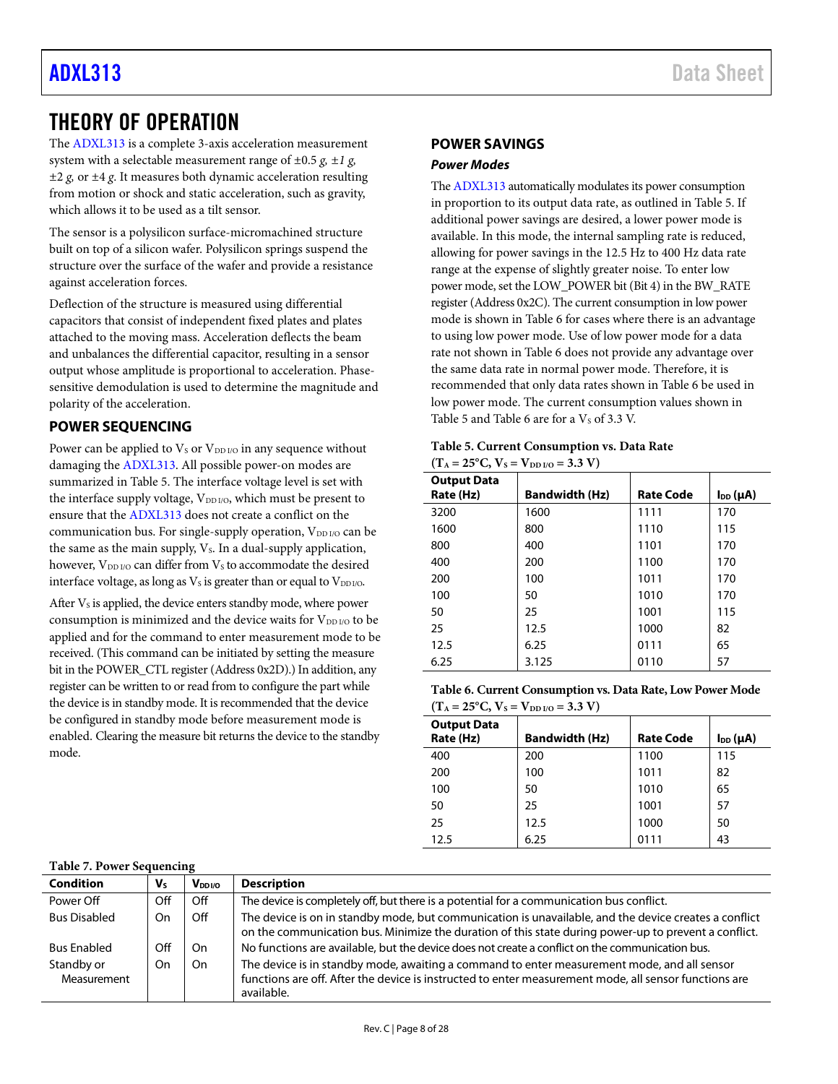### <span id="page-7-0"></span>THEORY OF OPERATION

The [ADXL313](https://www.analog.com/adxl313?doc=adxl313.pdf) is a complete 3-axis acceleration measurement system with a selectable measurement range of  $\pm 0.5$  g,  $\pm 1$  g, *±*2 *g,* or ±4 *g*. It measures both dynamic acceleration resulting from motion or shock and static acceleration, such as gravity, which allows it to be used as a tilt sensor.

The sensor is a polysilicon surface-micromachined structure built on top of a silicon wafer. Polysilicon springs suspend the structure over the surface of the wafer and provide a resistance against acceleration forces.

Deflection of the structure is measured using differential capacitors that consist of independent fixed plates and plates attached to the moving mass. Acceleration deflects the beam and unbalances the differential capacitor, resulting in a sensor output whose amplitude is proportional to acceleration. Phasesensitive demodulation is used to determine the magnitude and polarity of the acceleration.

### <span id="page-7-1"></span>**POWER SEQUENCING**

Power can be applied to  $V_S$  or  $V_{DD I/O}$  in any sequence without damaging the [ADXL313.](https://www.analog.com/adxl313?doc=adxl313.pdf) All possible power-on modes are summarized in [Table 5.](#page-7-3) The interface voltage level is set with the interface supply voltage, V<sub>DD I/O</sub>, which must be present to ensure that th[e ADXL313](https://www.analog.com/adxl313?doc=adxl313.pdf) does not create a conflict on the communication bus. For single-supply operation,  $V_{DD I/O}$  can be the same as the main supply,  $V_s$ . In a dual-supply application, however, V<sub>DD I/O</sub> can differ from V<sub>s</sub> to accommodate the desired interface voltage, as long as  $V<sub>S</sub>$  is greater than or equal to  $V<sub>DD I/O</sub>$ .

After  $V_s$  is applied, the device enters standby mode, where power consumption is minimized and the device waits for  $V_{DD I/O}$  to be applied and for the command to enter measurement mode to be received. (This command can be initiated by setting the measure bit in the POWER\_CTL register (Address 0x2D).) In addition, any register can be written to or read from to configure the part while the device is in standby mode. It is recommended that the device be configured in standby mode before measurement mode is enabled. Clearing the measure bit returns the device to the standby mode.

### <span id="page-7-2"></span>**POWER SAVINGS**

#### <span id="page-7-5"></span>*Power Modes*

Th[e ADXL313](https://www.analog.com/adxl313?doc=adxl313.pdf) automatically modulates its power consumption in proportion to its output data rate, as outlined i[n Table 5.](#page-7-3) If additional power savings are desired, a lower power mode is available. In this mode, the internal sampling rate is reduced, allowing for power savings in the 12.5 Hz to 400 Hz data rate range at the expense of slightly greater noise. To enter low power mode, set the LOW\_POWER bit (Bit 4) in the BW\_RATE register (Address 0x2C). The current consumption in low power mode is shown in [Table 6](#page-7-4) for cases where there is an advantage to using low power mode. Use of low power mode for a data rate not shown i[n Table 6](#page-7-4) does not provide any advantage over the same data rate in normal power mode. Therefore, it is recommended that only data rates shown i[n Table 6](#page-7-4) be used in low power mode. The current consumption values shown in [Table 5](#page-7-3) an[d Table 6](#page-7-4) are for a  $V<sub>S</sub>$  of 3.3 V.

<span id="page-7-3"></span>

| Table 5. Current Consumption vs. Data Rate      |
|-------------------------------------------------|
| $(T_A = 25^{\circ}C, V_s = V_{DD I/O} = 3.3 V)$ |

| <b>Output Data</b><br>Rate (Hz) | <b>Bandwidth (Hz)</b> | <b>Rate Code</b> | $I_{DD}(\mu A)$ |
|---------------------------------|-----------------------|------------------|-----------------|
| 3200                            | 1600                  | 1111             | 170             |
| 1600                            | 800                   | 1110             | 115             |
| 800                             | 400                   | 1101             | 170             |
| 400                             | 200                   | 1100             | 170             |
| 200                             | 100                   | 1011             | 170             |
| 100                             | 50                    | 1010             | 170             |
| 50                              | 25                    | 1001             | 115             |
| 25                              | 12.5                  | 1000             | 82              |
| 12.5                            | 6.25                  | 0111             | 65              |
| 6.25                            | 3.125                 | 0110             | 57              |

<span id="page-7-4"></span>**Table 6. Current Consumption vs. Data Rate, Low Power Mode**   $(T - 25^{\circ}C) V_0 - V_{\text{max}} = 3.3 \text{ V}$ 

|                                 | $(1A - 23C, Vs - VDD/0 - 3.3V)$ |                  |                 |  |  |  |  |  |  |
|---------------------------------|---------------------------------|------------------|-----------------|--|--|--|--|--|--|
| <b>Output Data</b><br>Rate (Hz) | <b>Bandwidth (Hz)</b>           | <b>Rate Code</b> | $I_{DD}(\mu A)$ |  |  |  |  |  |  |
| 400                             | 200                             | 1100             | 115             |  |  |  |  |  |  |
| 200                             | 100                             | 1011             | 82              |  |  |  |  |  |  |
| 100                             | 50                              | 1010             | 65              |  |  |  |  |  |  |
| 50                              | 25                              | 1001             | 57              |  |  |  |  |  |  |
| 25                              | 12.5                            | 1000             | 50              |  |  |  |  |  |  |
| 12.5                            | 6.25                            | 0111             | 43              |  |  |  |  |  |  |

#### **Table 7. Power Sequencing**

| <b>Condition</b>          | Vs  | V <sub>DDI/O</sub> | <b>Description</b>                                                                                                                                                                                                 |
|---------------------------|-----|--------------------|--------------------------------------------------------------------------------------------------------------------------------------------------------------------------------------------------------------------|
| Power Off                 | Off | Off                | The device is completely off, but there is a potential for a communication bus conflict.                                                                                                                           |
| <b>Bus Disabled</b>       | On  | Off                | The device is on in standby mode, but communication is unavailable, and the device creates a conflict<br>on the communication bus. Minimize the duration of this state during power-up to prevent a conflict.      |
| <b>Bus Enabled</b>        | Off | On                 | No functions are available, but the device does not create a conflict on the communication bus.                                                                                                                    |
| Standby or<br>Measurement | On  | On                 | The device is in standby mode, awaiting a command to enter measurement mode, and all sensor<br>functions are off. After the device is instructed to enter measurement mode, all sensor functions are<br>available. |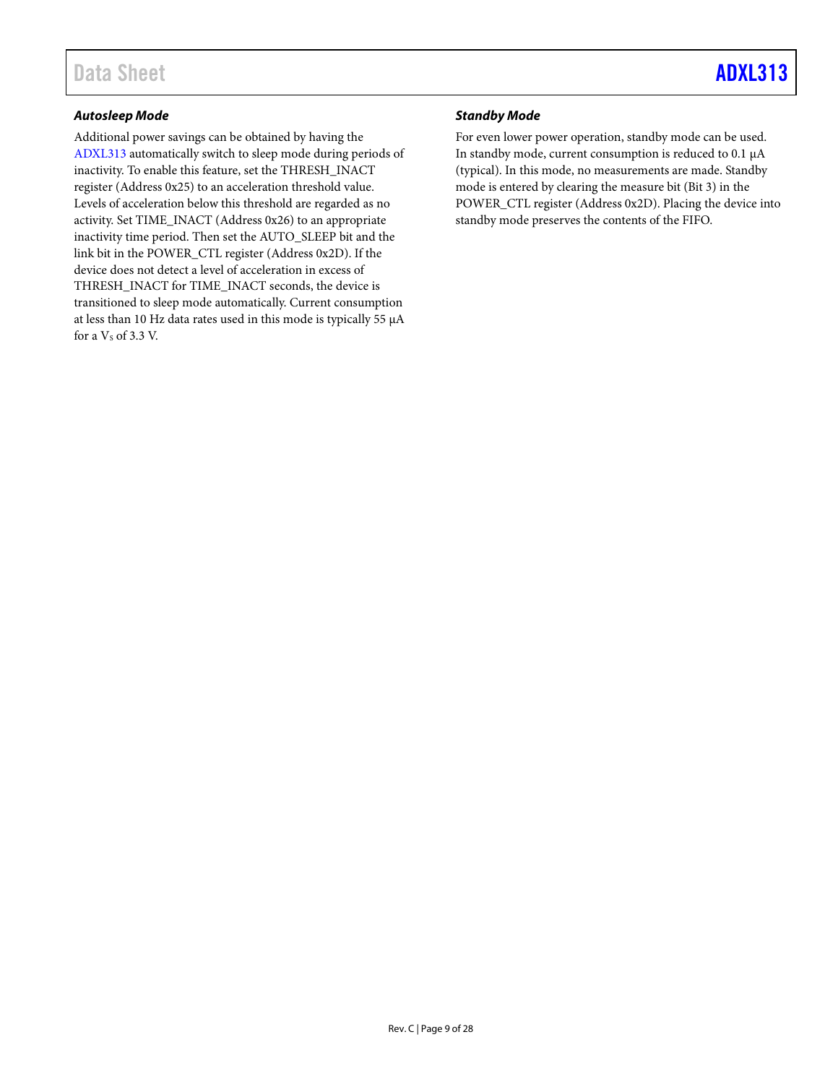#### *Autosleep Mode*

Additional power savings can be obtained by having the [ADXL313](https://www.analog.com/adxl313?doc=adxl313.pdf) automatically switch to sleep mode during periods of inactivity. To enable this feature, set the THRESH\_INACT register (Address 0x25) to an acceleration threshold value. Levels of acceleration below this threshold are regarded as no activity. Set TIME\_INACT (Address 0x26) to an appropriate inactivity time period. Then set the AUTO\_SLEEP bit and the link bit in the POWER\_CTL register (Address 0x2D). If the device does not detect a level of acceleration in excess of THRESH\_INACT for TIME\_INACT seconds, the device is transitioned to sleep mode automatically. Current consumption at less than 10 Hz data rates used in this mode is typically 55 µA for a  $Vs$  of 3.3 V.

#### *Standby Mode*

For even lower power operation, standby mode can be used. In standby mode, current consumption is reduced to 0.1 µA (typical). In this mode, no measurements are made. Standby mode is entered by clearing the measure bit (Bit 3) in the POWER\_CTL register (Address 0x2D). Placing the device into standby mode preserves the contents of the FIFO.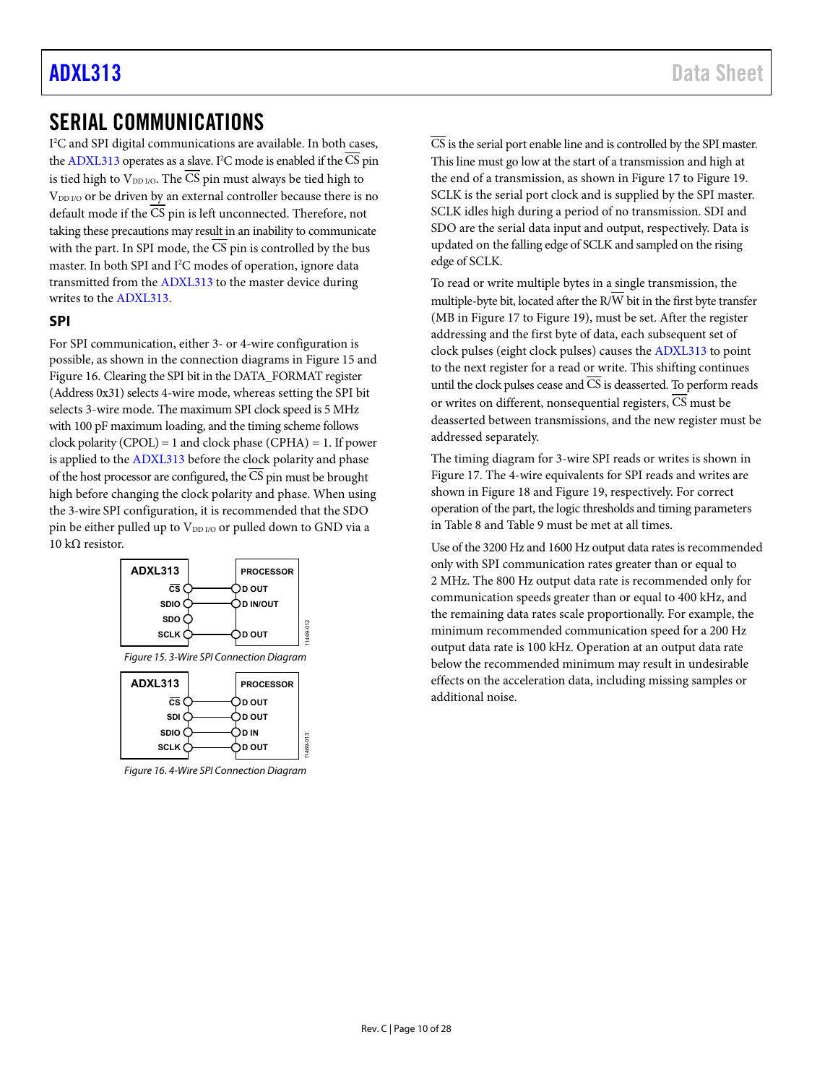### [ADXL313](https://www.analog.com/adxl313?doc=adxl313.pdf) Data Sheet

### <span id="page-9-0"></span>SERIAL COMMUNICATIONS

I 2 C and SPI digital communications are available. In both cases, th[e ADXL313 o](https://www.analog.com/adxl313?doc=adxl313.pdf)perates as a slave. I<sup>2</sup>C mode is enabled if the CS pin is tied high to  $V_{DD I/O}$ . The  $\overline{\text{CS}}$  pin must always be tied high to V<sub>DD I/O</sub> or be driven by an external controller because there is no default mode if the  $\overline{CS}$  pin is left unconnected. Therefore, not taking these precautions may result in an inability to communicate with the part. In SPI mode, the  $\overline{\text{CS}}$  pin is controlled by the bus master. In both SPI and I<sup>2</sup>C modes of operation, ignore data transmitted from th[e ADXL313 t](https://www.analog.com/adxl313?doc=adxl313.pdf)o the master device during writes to the [ADXL313.](https://www.analog.com/adxl313?doc=adxl313.pdf) 

#### <span id="page-9-1"></span>**SPI**

For SPI communication, either 3- or 4-wire configuration is possible, as shown in the connection diagrams i[n Figure 15](#page-9-2) and [Figure 16.](#page-9-3) Clearing the SPI bit in the DATA\_FORMAT register (Address 0x31) selects 4-wire mode, whereas setting the SPI bit selects 3-wire mode. The maximum SPI clock speed is 5 MHz with 100 pF maximum loading, and the timing scheme follows clock polarity (CPOL) = 1 and clock phase (CPHA) = 1. If power is applied to the [ADXL313](https://www.analog.com/adxl313?doc=adxl313.pdf) before the clock polarity and phase of the host processor are configured, the  $\overline{CS}$  pin must be brought high before changing the clock polarity and phase. When using the 3-wire SPI configuration, it is recommended that the SDO pin be either pulled up to V<sub>DD I/O</sub> or pulled down to GND via a 10 kΩ resistor.



Figure 15. 3-Wire SPI Connection Diagram

11469-012

11469-013

<span id="page-9-2"></span>

<span id="page-9-3"></span>Figure 16. 4-Wire SPI Connection Diagram

 $\overline{\text{CS}}$  is the serial port enable line and is controlled by the SPI master. This line must go low at the start of a transmission and high at the end of a transmission, as shown i[n Figure 17](#page-11-0) to [Figure 19.](#page-11-1)  SCLK is the serial port clock and is supplied by the SPI master. SCLK idles high during a period of no transmission. SDI and SDO are the serial data input and output, respectively. Data is updated on the falling edge of SCLK and sampled on the rising edge of SCLK.

To read or write multiple bytes in a single transmission, the multiple-byte bit, located after the  $\overline{R/W}$  bit in the first byte transfer (MB i[n Figure 17](#page-11-0) to [Figure 19\)](#page-11-1), must be set. After the register addressing and the first byte of data, each subsequent set of clock pulses (eight clock pulses) causes th[e ADXL313 t](https://www.analog.com/adxl313?doc=adxl313.pdf)o point to the next register for a read or write. This shifting continues until the clock pulses cease and  $\overline{\text{CS}}$  is deasserted. To perform reads or writes on different, nonsequential registers, CS must be deasserted between transmissions, and the new register must be addressed separately.

The timing diagram for 3-wire SPI reads or writes is shown in [Figure 17.](#page-11-0) The 4-wire equivalents for SPI reads and writes are shown in [Figure 18 a](#page-11-2)n[d Figure 19,](#page-11-1) respectively. For correct operation of the part, the logic thresholds and timing parameters in [Table 8](#page-10-0) an[d Table 9 m](#page-10-1)ust be met at all times.

Use of the 3200 Hz and 1600 Hz output data rates is recommended only with SPI communication rates greater than or equal to 2 MHz. The 800 Hz output data rate is recommended only for communication speeds greater than or equal to 400 kHz, and the remaining data rates scale proportionally. For example, the minimum recommended communication speed for a 200 Hz output data rate is 100 kHz. Operation at an output data rate below the recommended minimum may result in undesirable effects on the acceleration data, including missing samples or additional noise.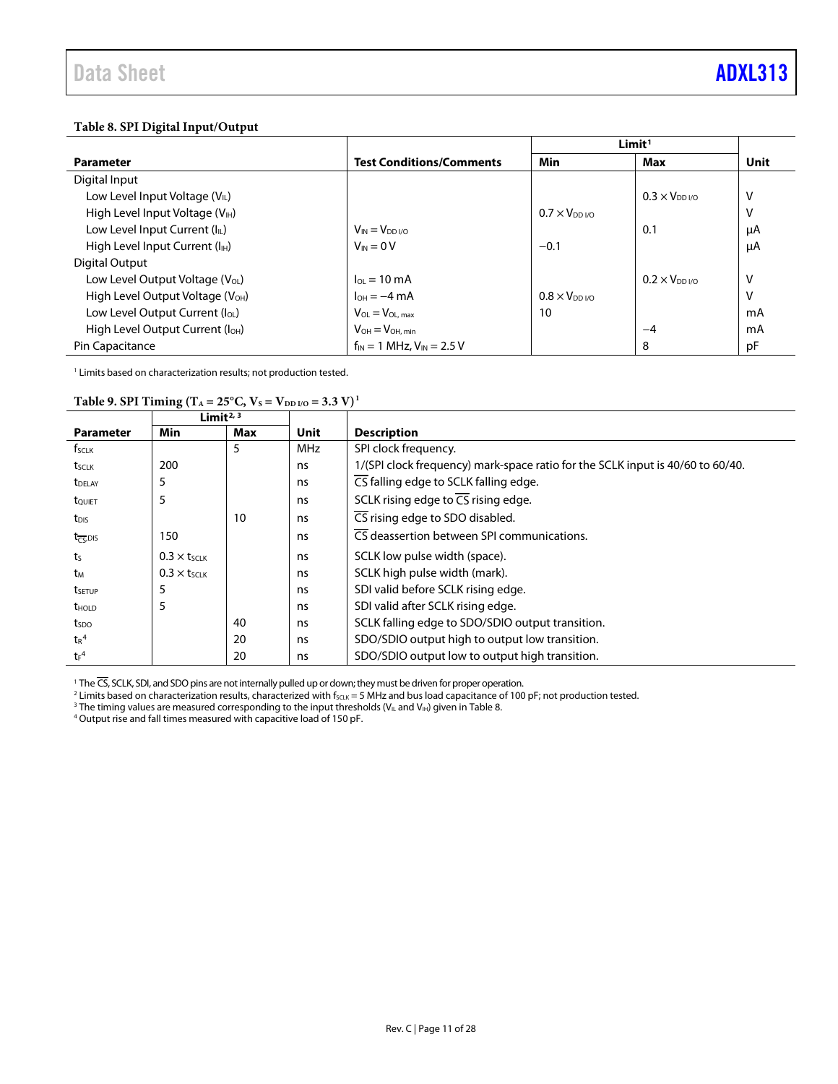#### <span id="page-10-0"></span>**Table 8. SPI Digital Input/Output**

|                                              |                                    | Limit <sup>1</sup>  |                         |      |
|----------------------------------------------|------------------------------------|---------------------|-------------------------|------|
| <b>Parameter</b>                             | <b>Test Conditions/Comments</b>    | <b>Min</b>          | Max                     | Unit |
| Digital Input                                |                                    |                     |                         |      |
| Low Level Input Voltage (VIL)                |                                    |                     | $0.3 \times V_{DD}$ i/o | ٧    |
| High Level Input Voltage (V <sub>IH</sub> )  |                                    | $0.7 \times V_{DD}$ |                         | ٧    |
| Low Level Input Current (IL)                 | $V_{IN} = V_{DD I/O}$              |                     | 0.1                     | μA   |
| High Level Input Current (I <sub>H</sub> )   | $V_{IN} = 0 V$                     | $-0.1$              |                         | μA   |
| Digital Output                               |                                    |                     |                         |      |
| Low Level Output Voltage (V <sub>OL</sub> )  | $I_{OL} = 10 \text{ mA}$           |                     | $0.2 \times V_{DD}$     | ٧    |
| High Level Output Voltage (V <sub>OH</sub> ) | $I_{OH} = -4 mA$                   | $0.8 \times V_{DD}$ |                         | ٧    |
| Low Level Output Current (I <sub>OL</sub> )  | $V_{OL} = V_{OL, max}$             | 10                  |                         | mA   |
| High Level Output Current (I <sub>OH</sub> ) | $V_{OH} = V_{OH, min}$             |                     | -4                      | mA   |
| Pin Capacitance                              | $f_{IN}$ = 1 MHz, $V_{IN}$ = 2.5 V |                     | 8                       | pF   |

<span id="page-10-1"></span><sup>1</sup> Limits based on characterization results; not production tested.

#### **Table 9. SPI Timing (T<sub>A</sub> = 25°C, V<sub>S</sub> = V<sub>DD I/O</sub> = 3.3 V)<sup>1</sup>**

|                                                   | Limit <sup>2, 3</sup>          |     |      |                                                                                |  |  |  |  |
|---------------------------------------------------|--------------------------------|-----|------|--------------------------------------------------------------------------------|--|--|--|--|
| <b>Parameter</b>                                  | Min                            | Max | Unit | <b>Description</b>                                                             |  |  |  |  |
| $f_{SCLK}$                                        |                                | 5   | MHz  | SPI clock frequency.                                                           |  |  |  |  |
| tsclk                                             | 200                            |     | ns   | 1/(SPI clock frequency) mark-space ratio for the SCLK input is 40/60 to 60/40. |  |  |  |  |
| <b>t</b> DELAY                                    | 5                              |     | ns   | CS falling edge to SCLK falling edge.                                          |  |  |  |  |
| t <sub>ouiet</sub>                                | 5                              |     | ns   | SCLK rising edge to $\overline{CS}$ rising edge.                               |  |  |  |  |
| t <sub>DIS</sub>                                  |                                | 10  | ns   | CS rising edge to SDO disabled.                                                |  |  |  |  |
| t <sub><math>\overline{\tau_{5,DIS}}</math></sub> | 150                            |     | ns   | $\overline{\text{CS}}$ deassertion between SPI communications.                 |  |  |  |  |
| ts                                                | $0.3 \times t$ <sub>SCLK</sub> |     | ns   | SCLK low pulse width (space).                                                  |  |  |  |  |
| tм                                                | $0.3 \times t$ <sub>SCLK</sub> |     | ns.  | SCLK high pulse width (mark).                                                  |  |  |  |  |
| tsetup                                            | 5                              |     | ns   | SDI valid before SCLK rising edge.                                             |  |  |  |  |
| <b>t</b> <sub>HOLD</sub>                          | 5                              |     | ns   | SDI valid after SCLK rising edge.                                              |  |  |  |  |
| tspo                                              |                                | 40  | ns   | SCLK falling edge to SDO/SDIO output transition.                               |  |  |  |  |
| $tr^4$                                            |                                | 20  | ns   | SDO/SDIO output high to output low transition.                                 |  |  |  |  |
| $tr^4$                                            |                                | 20  | ns   | SDO/SDIO output low to output high transition.                                 |  |  |  |  |

<sup>1</sup> The CS, SCLK, SDI, and SDO pins are not internally pulled up or down; they must be driven for proper operation.

 $^2$  Limits based on characterization results, characterized with f $_{\rm SCLK}$  = 5 MHz and bus load capacitance of 100 pF; not production tested.

<sup>3</sup> The timing values are measured corresponding to the input thresholds (V<sub>IL</sub> and V<sub>IH</sub>) given i[n Table 8.](#page-10-0)

<sup>4</sup> Output rise and fall times measured with capacitive load of 150 pF.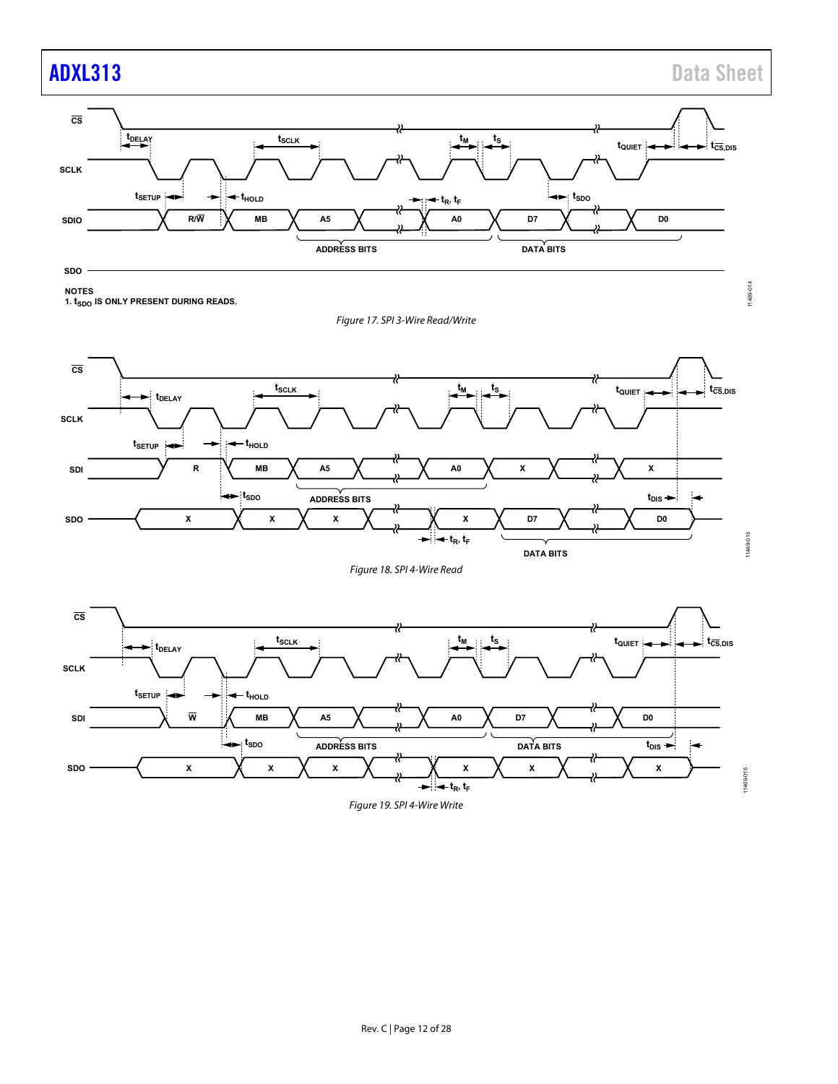11469-015

11469-016

11469-016



**NOTES**

<span id="page-11-0"></span>**1.**  $t_{SDO}$  IS ONLY PRESENT DURING READS.

Figure 17. SPI 3-Wire Read/Write



Figure 18. SPI 4-Wire Read

<span id="page-11-2"></span><span id="page-11-1"></span>

Figure 19. SPI 4-Wire Write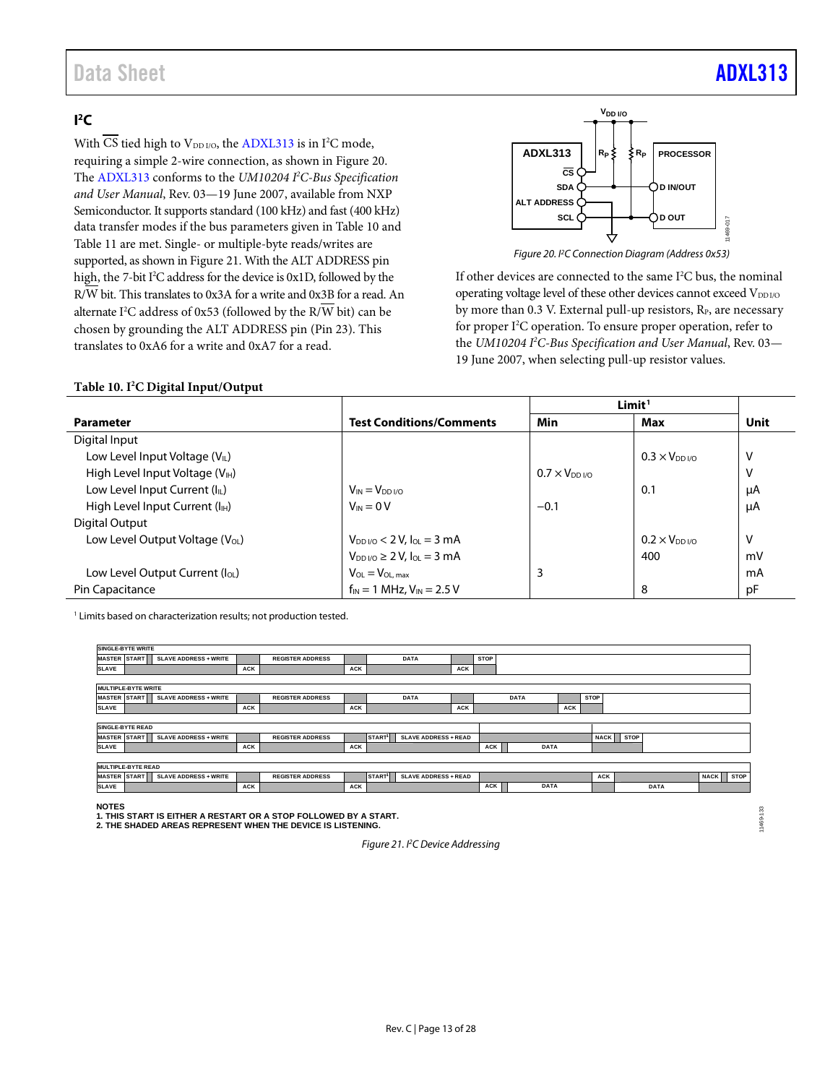### Data Sheet **[ADXL313](https://www.analog.com/adxl313?doc=adxl313.pdf)**

### <span id="page-12-0"></span> $\mathsf{I}^2\mathsf{C}$

With CS tied high to  $V_{DD I/O}$ , th[e ADXL313](https://www.analog.com/adxl313?doc=adxl313.pdf) is in I<sup>2</sup>C mode, requiring a simple 2-wire connection, as shown i[n Figure 20.](#page-12-1) The [ADXL313](https://www.analog.com/adxl313?doc=adxl313.pdf) conforms to the *UM10204 I 2 C-Bus Specification and User Manual*, Rev. 03—19 June 2007, available from NXP Semiconductor. It supports standard (100 kHz) and fast (400 kHz) data transfer modes if the bus parameters given i[n Table 10](#page-12-2) and [Table 11](#page-13-0) are met. Single- or multiple-byte reads/writes are supported, as shown i[n Figure 21.](#page-12-3) With the ALT ADDRESS pin high, the 7-bit I<sup>2</sup>C address for the device is 0x1D, followed by the R/W bit. This translates to 0x3A for a write and 0x3B for a read. An alternate I 2 C address of 0x53 (followed by the R/W bit) can be chosen by grounding the ALT ADDRESS pin (Pin 23). This translates to 0xA6 for a write and 0xA7 for a read.



<span id="page-12-1"></span>If other devices are connected to the same I<sup>2</sup>C bus, the nominal operating voltage level of these other devices cannot exceed VDDI/O by more than 0.3 V. External pull-up resistors, R<sub>P</sub>, are necessary for proper I<sup>2</sup>C operation. To ensure proper operation, refer to the *UM10204 I 2 C-Bus Specification and User Manual*, Rev. 03— 19 June 2007, when selecting pull-up resistor values.

#### <span id="page-12-2"></span>**Table 10. I2 C Digital Input/Output**

|                                             |                                                         |                     | Limit <sup>1</sup>     |      |  |
|---------------------------------------------|---------------------------------------------------------|---------------------|------------------------|------|--|
| <b>Parameter</b>                            | <b>Test Conditions/Comments</b>                         | Min                 | Max                    | Unit |  |
| Digital Input                               |                                                         |                     |                        |      |  |
| Low Level Input Voltage (VIL)               |                                                         |                     | $0.3 \times V_{DD1/0}$ | v    |  |
| High Level Input Voltage (V <sub>IH</sub> ) |                                                         | $0.7 \times V_{DD}$ |                        | v    |  |
| Low Level Input Current (IL)                | $V_{IN} = V_{DD}V_{O}$                                  |                     | 0.1                    | μA   |  |
| High Level Input Current (I <sub>H</sub> )  | $V_{IN} = 0 V$                                          | $-0.1$              |                        | μA   |  |
| Digital Output                              |                                                         |                     |                        |      |  |
| Low Level Output Voltage (V <sub>OL</sub> ) | $V_{DD}$ $V_{O}$ $<$ 2 $V_{e}$ $I_{OL}$ $=$ 3 mA        |                     | $0.2 \times V_{DD}$    | v    |  |
|                                             | $V_{DD}$ <sub>V</sub> $\circ \geq 2$ V, $I_{OL} = 3$ mA |                     | 400                    | mV   |  |
| Low Level Output Current (loL)              | $V_{OL} = V_{OL, max}$                                  | 3                   |                        | mA   |  |
| Pin Capacitance                             | $f_{IN} = 1$ MHz, $V_{IN} = 2.5$ V                      |                     | 8                      | pF   |  |

<sup>1</sup> Limits based on characterization results; not production tested.



**NOTES**

NOTES<br>1. THIS START IS EITHER A RESTART OR A STOP FOLLOWED BY A START.<br>2. THE SHADED AREAS REPRESENT WHEN THE DEVICE IS LISTENING.

<span id="page-12-3"></span>

*Figure 21. I2C Device Addressing*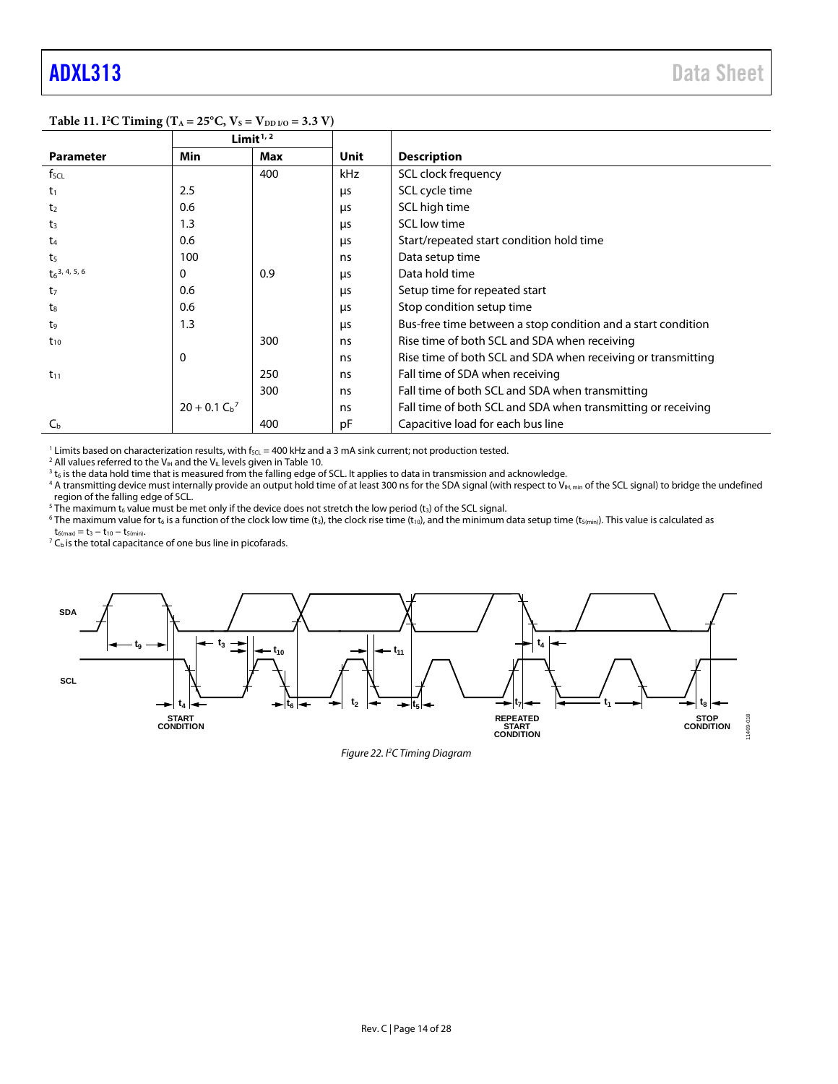11469-018

|                             | $\sigma$ .     | Limit $1/2$ |            |                                                              |
|-----------------------------|----------------|-------------|------------|--------------------------------------------------------------|
| <b>Parameter</b>            | Min            | Max         | Unit       | <b>Description</b>                                           |
| f <sub>SCL</sub>            |                | 400         | kHz        | SCL clock frequency                                          |
| $t_1$                       | 2.5            |             | μs         | SCL cycle time                                               |
| t <sub>2</sub>              | 0.6            |             | <b>LIS</b> | SCL high time                                                |
| $t_3$                       | 1.3            |             | μs         | SCL low time                                                 |
| $t_{4}$                     | 0.6            |             | <b>LIS</b> | Start/repeated start condition hold time                     |
| t <sub>5</sub>              | 100            |             | ns         | Data setup time                                              |
| $t_6$ <sup>3, 4, 5, 6</sup> | 0              | 0.9         | μs         | Data hold time                                               |
| t <sub>7</sub>              | 0.6            |             | μs         | Setup time for repeated start                                |
| t <sub>8</sub>              | 0.6            |             | μs         | Stop condition setup time                                    |
| t,                          | 1.3            |             | μs         | Bus-free time between a stop condition and a start condition |
| $t_{10}$                    |                | 300         | ns         | Rise time of both SCL and SDA when receiving                 |
|                             | 0              |             | ns         | Rise time of both SCL and SDA when receiving or transmitting |
| $t_{11}$                    |                | 250         | ns         | Fall time of SDA when receiving                              |
|                             |                | 300         | ns         | Fall time of both SCL and SDA when transmitting              |
|                             | $20 + 0.1 Cb7$ |             | ns         | Fall time of both SCL and SDA when transmitting or receiving |
| C <sub>b</sub>              |                | 400         | pF         | Capacitive load for each bus line                            |

<span id="page-13-0"></span>**Table 11. I<sup>2</sup>C Timing (T<sub>A</sub> = 25°C, V<sub>S</sub> = V<sub>DD I/O</sub> = 3.3 V)** 

<sup>1</sup> Limits based on characterization results, with f<sub>SCL</sub> = 400 kHz and a 3 mA sink current; not production tested. <sup>2</sup> All values referred to the V<sub>IH</sub> and the V<sub>IL</sub> levels given i[n Table 10.](#page-12-2)

 $3$  t<sub>6</sub> is the data hold time that is measured from the falling edge of SCL. It applies to data in transmission and acknowledge.

<sup>4</sup> A transmitting device must internally provide an output hold time of at least 300 ns for the SDA signal (with respect to V<sub>IH, min</sub> of the SCL signal) to bridge the undefined region of the falling edge of SCL.

<sup>5</sup> The maximum t<sub>6</sub> value must be met only if the device does not stretch the low period (t<sub>3</sub>) of the SCL signal.

<sup>6</sup> The maximum value for t<sub>6</sub> is a function of the clock low time (t<sub>3</sub>), the clock rise time (t<sub>10</sub>), and the minimum data setup time (t<sub>5(min</sub>). This value is calculated as  $t_{6(max)} = t_3 - t_{10} - t_{5(min)}.$ 

 $7 C<sub>b</sub>$  is the total capacitance of one bus line in picofarads.



*Figure 22. I2 C Timing Diagram*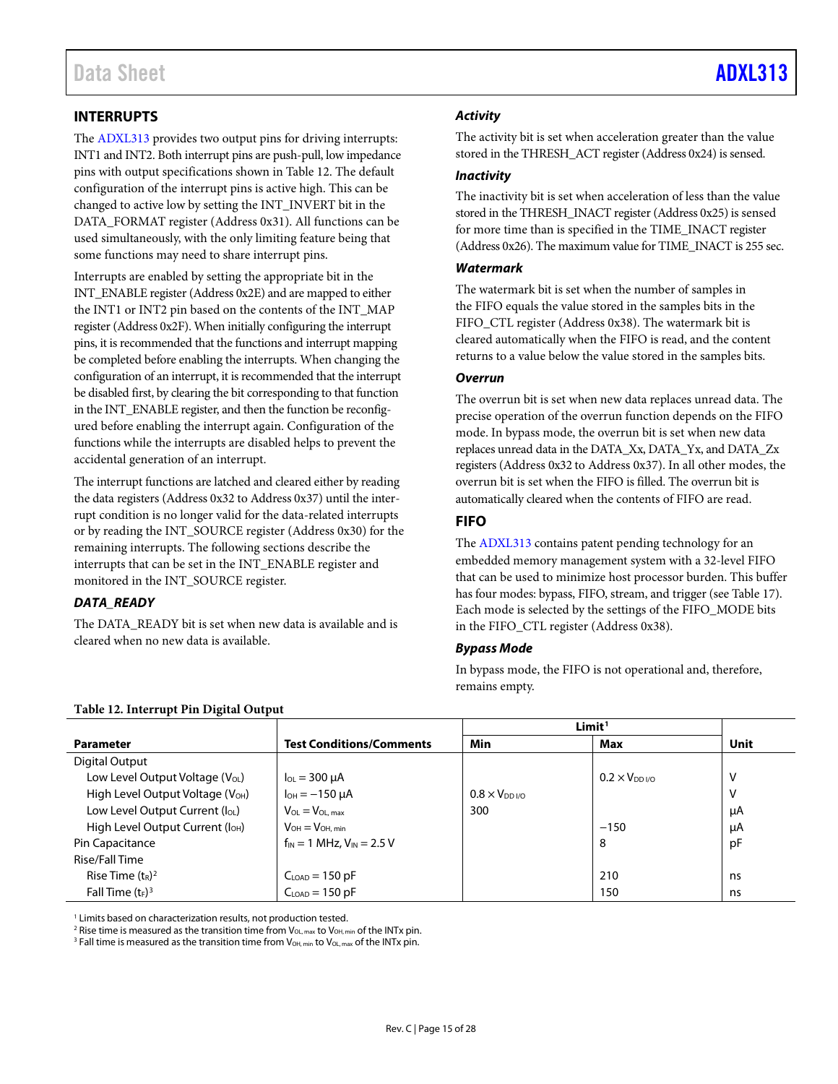#### <span id="page-14-0"></span>**INTERRUPTS**

The [ADXL313](https://www.analog.com/adxl313?doc=adxl313.pdf) provides two output pins for driving interrupts: INT1 and INT2. Both interrupt pins are push-pull, low impedance pins with output specifications shown in [Table 12.](#page-14-2) The default configuration of the interrupt pins is active high. This can be changed to active low by setting the INT\_INVERT bit in the DATA\_FORMAT register (Address 0x31). All functions can be used simultaneously, with the only limiting feature being that some functions may need to share interrupt pins.

Interrupts are enabled by setting the appropriate bit in the INT\_ENABLE register (Address 0x2E) and are mapped to either the INT1 or INT2 pin based on the contents of the INT\_MAP register (Address 0x2F). When initially configuring the interrupt pins, it is recommended that the functions and interrupt mapping be completed before enabling the interrupts. When changing the configuration of an interrupt, it is recommended that the interrupt be disabled first, by clearing the bit corresponding to that function in the INT\_ENABLE register, and then the function be reconfigured before enabling the interrupt again. Configuration of the functions while the interrupts are disabled helps to prevent the accidental generation of an interrupt.

The interrupt functions are latched and cleared either by reading the data registers (Address 0x32 to Address 0x37) until the interrupt condition is no longer valid for the data-related interrupts or by reading the INT\_SOURCE register (Address 0x30) for the remaining interrupts. The following sections describe the interrupts that can be set in the INT\_ENABLE register and monitored in the INT\_SOURCE register.

#### *DATA\_READY*

The DATA\_READY bit is set when new data is available and is cleared when no new data is available.

#### *Activity*

The activity bit is set when acceleration greater than the value stored in the THRESH\_ACT register (Address 0x24) is sensed.

#### *Inactivity*

The inactivity bit is set when acceleration of less than the value stored in the THRESH\_INACT register (Address 0x25) is sensed for more time than is specified in the TIME\_INACT register (Address 0x26). The maximum value for TIME\_INACT is 255 sec.

#### *Watermark*

The watermark bit is set when the number of samples in the FIFO equals the value stored in the samples bits in the FIFO\_CTL register (Address 0x38). The watermark bit is cleared automatically when the FIFO is read, and the content returns to a value below the value stored in the samples bits.

#### *Overrun*

The overrun bit is set when new data replaces unread data. The precise operation of the overrun function depends on the FIFO mode. In bypass mode, the overrun bit is set when new data replaces unread data in the DATA\_Xx, DATA\_Yx, and DATA\_Zx registers (Address 0x32 to Address 0x37). In all other modes, the overrun bit is set when the FIFO is filled. The overrun bit is automatically cleared when the contents of FIFO are read.

#### <span id="page-14-1"></span>**FIFO**

The [ADXL313](https://www.analog.com/adxl313?doc=adxl313.pdf) contains patent pending technology for an embedded memory management system with a 32-level FIFO that can be used to minimize host processor burden. This buffer has four modes: bypass, FIFO, stream, and trigger (see [Table 17\)](#page-20-0). Each mode is selected by the settings of the FIFO\_MODE bits in the FIFO\_CTL register (Address 0x38).

#### *Bypass Mode*

In bypass mode, the FIFO is not operational and, therefore, remains empty.

| Tuble 12. Interfugit in Digital Output       |                                    |                         |                     |      |  |  |  |  |  |
|----------------------------------------------|------------------------------------|-------------------------|---------------------|------|--|--|--|--|--|
|                                              |                                    |                         | Limit <sup>1</sup>  |      |  |  |  |  |  |
| <b>Parameter</b>                             | <b>Test Conditions/Comments</b>    | Min                     | Max                 | Unit |  |  |  |  |  |
| Digital Output                               |                                    |                         |                     |      |  |  |  |  |  |
| Low Level Output Voltage $(V_{OL})$          | $I_{OL}$ = 300 $\mu$ A             |                         | $0.2 \times V_{DD}$ | ٧    |  |  |  |  |  |
| High Level Output Voltage (V <sub>OH</sub> ) | $I_{OH} = -150 \mu A$              | $0.8 \times V_{DD}$ i/o |                     | ٧    |  |  |  |  |  |
| Low Level Output Current (loL)               | $V_{OL} = V_{OL, max}$             | 300                     |                     | μA   |  |  |  |  |  |
| High Level Output Current (I <sub>OH</sub> ) | $V_{OH} = V_{OH, min}$             |                         | $-150$              | μA   |  |  |  |  |  |
| Pin Capacitance                              | $f_{IN} = 1$ MHz, $V_{IN} = 2.5$ V |                         | 8                   | pF   |  |  |  |  |  |
| Rise/Fall Time                               |                                    |                         |                     |      |  |  |  |  |  |
| Rise Time $(t_R)^2$                          | $CLOAD = 150 pF$                   |                         | 210                 | ns   |  |  |  |  |  |
| Fall Time $(t_F)^3$                          | $CLOAD = 150 pF$                   |                         | 150                 | ns   |  |  |  |  |  |

<span id="page-14-2"></span>**Table 12. Interrupt Pin Digital Output**

<sup>1</sup> Limits based on characterization results, not production tested.

<sup>2</sup> Rise time is measured as the transition time from  $V_{OL, max}$  to  $V_{OH, min}$  of the INTx pin.

<sup>3</sup> Fall time is measured as the transition time from  $V_{OH, min}$  to  $V_{OL, max}$  of the INTx pin.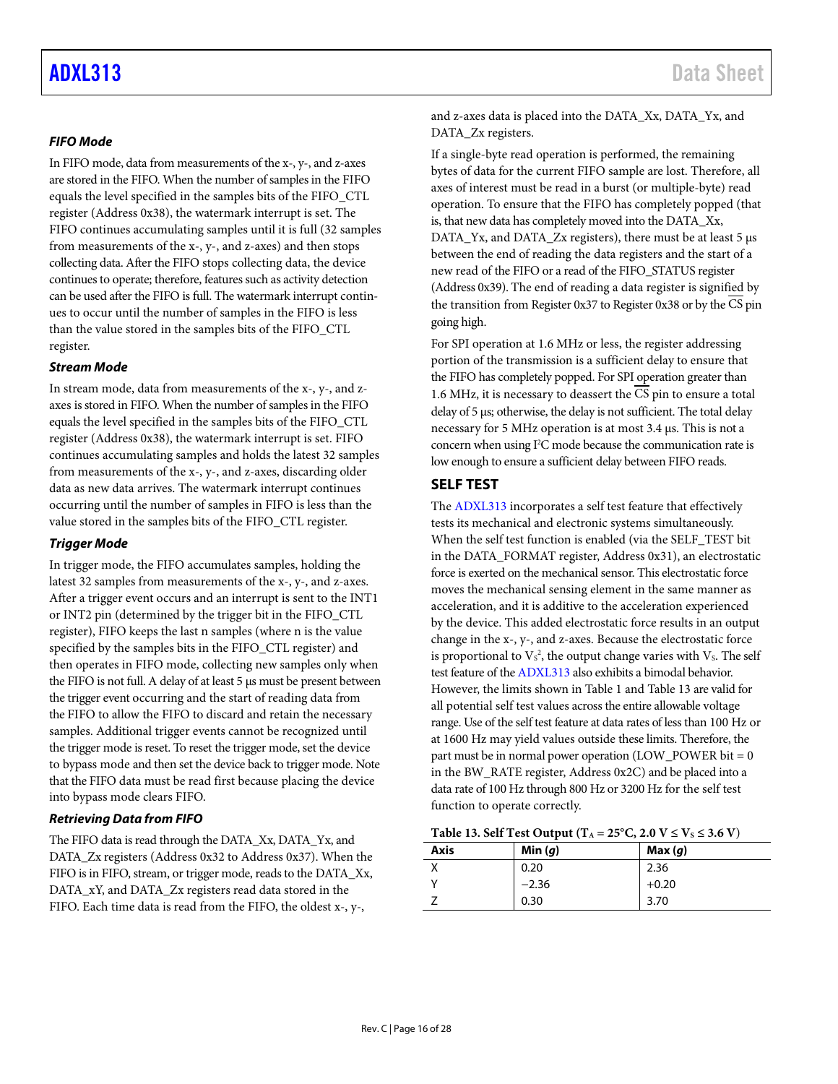#### *FIFO Mode*

In FIFO mode, data from measurements of the x-, y-, and z-axes are stored in the FIFO. When the number of samples in the FIFO equals the level specified in the samples bits of the FIFO\_CTL register (Address 0x38), the watermark interrupt is set. The FIFO continues accumulating samples until it is full (32 samples from measurements of the x-, y-, and z-axes) and then stops collecting data. After the FIFO stops collecting data, the device continues to operate; therefore, features such as activity detection can be used after the FIFO is full. The watermark interrupt continues to occur until the number of samples in the FIFO is less than the value stored in the samples bits of the FIFO\_CTL register.

#### *Stream Mode*

In stream mode, data from measurements of the x-, y-, and zaxes is stored in FIFO. When the number of samples in the FIFO equals the level specified in the samples bits of the FIFO\_CTL register (Address 0x38), the watermark interrupt is set. FIFO continues accumulating samples and holds the latest 32 samples from measurements of the x-, y-, and z-axes, discarding older data as new data arrives. The watermark interrupt continues occurring until the number of samples in FIFO is less than the value stored in the samples bits of the FIFO\_CTL register.

#### *Trigger Mode*

<span id="page-15-1"></span>In trigger mode, the FIFO accumulates samples, holding the latest 32 samples from measurements of the x-, y-, and z-axes. After a trigger event occurs and an interrupt is sent to the INT1 or INT2 pin (determined by the trigger bit in the FIFO\_CTL register), FIFO keeps the last n samples (where n is the value specified by the samples bits in the FIFO\_CTL register) and then operates in FIFO mode, collecting new samples only when the FIFO is not full. A delay of at least 5 μs must be present between the trigger event occurring and the start of reading data from the FIFO to allow the FIFO to discard and retain the necessary samples. Additional trigger events cannot be recognized until the trigger mode is reset. To reset the trigger mode, set the device to bypass mode and then set the device back to trigger mode. Note that the FIFO data must be read first because placing the device into bypass mode clears FIFO.

#### *Retrieving Data from FIFO*

The FIFO data is read through the DATA\_Xx, DATA\_Yx, and DATA\_Zx registers (Address 0x32 to Address 0x37). When the FIFO is in FIFO, stream, or trigger mode, reads to the DATA\_Xx, DATA\_xY, and DATA\_Zx registers read data stored in the FIFO. Each time data is read from the FIFO, the oldest x-, y-,

and z-axes data is placed into the DATA\_Xx, DATA\_Yx, and DATA Zx registers.

If a single-byte read operation is performed, the remaining bytes of data for the current FIFO sample are lost. Therefore, all axes of interest must be read in a burst (or multiple-byte) read operation. To ensure that the FIFO has completely popped (that is, that new data has completely moved into the DATA\_Xx, DATA\_Yx, and DATA\_Zx registers), there must be at least 5 μs between the end of reading the data registers and the start of a new read of the FIFO or a read of the FIFO\_STATUS register (Address 0x39). The end of reading a data register is signified by the transition from Register 0x37 to Register 0x38 or by the  $\overline{\text{CS}}$  pin going high.

For SPI operation at 1.6 MHz or less, the register addressing portion of the transmission is a sufficient delay to ensure that the FIFO has completely popped. For SPI operation greater than 1.6 MHz, it is necessary to deassert the CS pin to ensure a total delay of 5 μs; otherwise, the delay is not sufficient. The total delay necessary for 5 MHz operation is at most 3.4 μs. This is not a concern when using I<sup>2</sup>C mode because the communication rate is low enough to ensure a sufficient delay between FIFO reads.

#### <span id="page-15-0"></span>**SELF TEST**

The [ADXL313](https://www.analog.com/adxl313?doc=adxl313.pdf) incorporates a self test feature that effectively tests its mechanical and electronic systems simultaneously. When the self test function is enabled (via the SELF\_TEST bit in the DATA\_FORMAT register, Address 0x31), an electrostatic force is exerted on the mechanical sensor. This electrostatic force moves the mechanical sensing element in the same manner as acceleration, and it is additive to the acceleration experienced by the device. This added electrostatic force results in an output change in the x-, y-, and z-axes. Because the electrostatic force is proportional to  $\mathrm{V\!s}^2$ , the output change varies with  $\mathrm{V\!s}$ . The self test feature of th[e ADXL313](https://www.analog.com/adxl313?doc=adxl313.pdf) also exhibits a bimodal behavior. However, the limits shown i[n Table 1](#page-2-1) an[d Table 13](#page-15-2) are valid for all potential self test values across the entire allowable voltage range. Use of the self test feature at data rates of less than 100 Hz or at 1600 Hz may yield values outside these limits. Therefore, the part must be in normal power operation (LOW\_POWER bit  $= 0$ ) in the BW\_RATE register, Address 0x2C) and be placed into a data rate of 100 Hz through 800 Hz or 3200 Hz for the self test function to operate correctly.

#### <span id="page-15-2"></span>**Table 13. Self Test Output (T<sub>A</sub> = 25°C, 2.0 V ≤**  $V_S$  **≤ 3.6 V)**

| Axis | Min $(q)$ | Max(q)  |
|------|-----------|---------|
|      | 0.20      | 2.36    |
|      | $-2.36$   | $+0.20$ |
|      | 0.30      | 3.70    |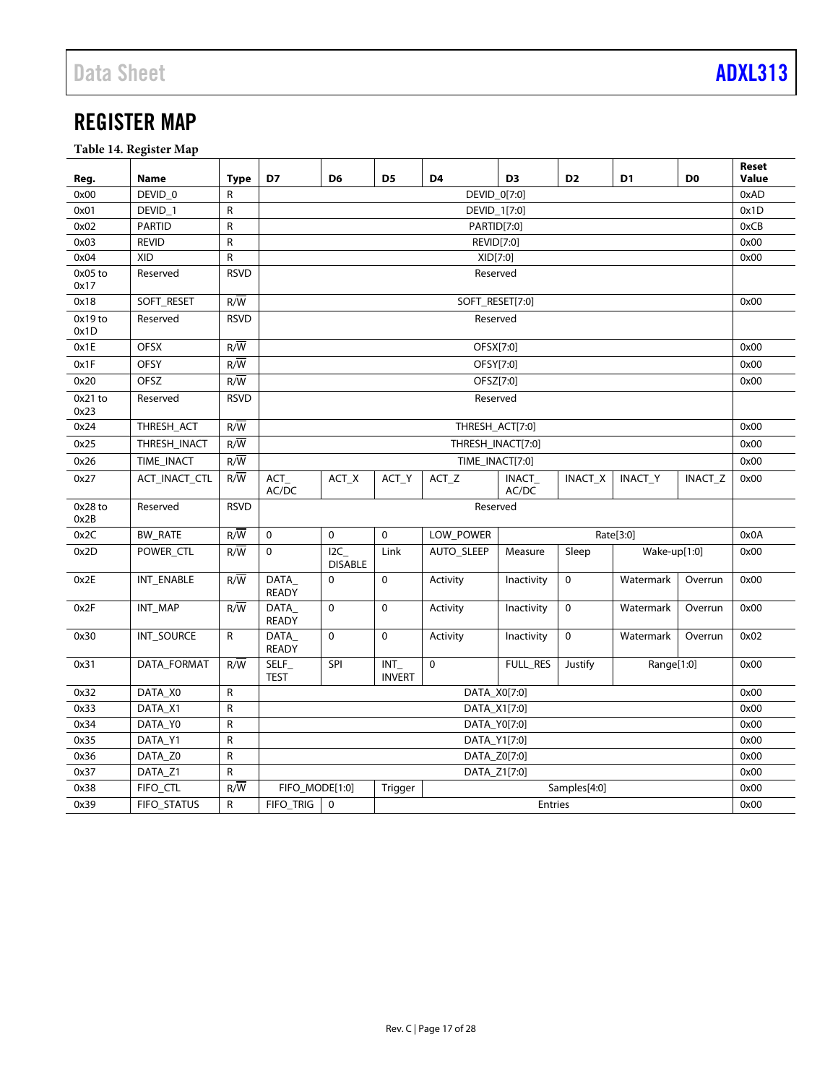<span id="page-16-0"></span>**Table 14. Register Map**

| Reg.            | Name              | Type             | D7                                | D <sub>6</sub>                | D <sub>5</sub>       | D4                | D <sub>3</sub>  | D <sub>2</sub> | D <sub>1</sub> | D <sub>0</sub> | <b>Reset</b><br>Value |
|-----------------|-------------------|------------------|-----------------------------------|-------------------------------|----------------------|-------------------|-----------------|----------------|----------------|----------------|-----------------------|
| 0x00            | DEVID 0           | R                |                                   |                               |                      | DEVID_0[7:0]      |                 |                |                |                | 0xAD                  |
| 0x01            | DEVID 1           | R                |                                   |                               |                      | DEVID_1[7:0]      |                 |                |                |                | 0x1D                  |
| 0x02            | <b>PARTID</b>     | R                |                                   |                               |                      | PARTID[7:0]       |                 |                |                |                | 0xCB                  |
| 0x03            | <b>REVID</b>      | R                |                                   |                               |                      | REVID[7:0]        |                 |                |                |                | 0x00                  |
| 0x04            | <b>XID</b>        | R                |                                   |                               |                      | XID[7:0]          |                 |                |                |                | 0x00                  |
| 0x05 to<br>0x17 | Reserved          | <b>RSVD</b>      |                                   |                               |                      | Reserved          |                 |                |                |                |                       |
| 0x18            | SOFT_RESET        | $R/\overline{W}$ |                                   |                               |                      | SOFT_RESET[7:0]   |                 |                |                |                | 0x00                  |
| 0x19 to<br>0x1D | Reserved          | <b>RSVD</b>      |                                   |                               |                      | Reserved          |                 |                |                |                |                       |
| 0x1E            | <b>OFSX</b>       | $R/\overline{W}$ |                                   |                               |                      | OFSX[7:0]         |                 |                |                |                | 0x00                  |
| 0x1F            | <b>OFSY</b>       | $R/\overline{W}$ |                                   |                               |                      | OFSY[7:0]         |                 |                |                |                | 0x00                  |
| 0x20            | <b>OFSZ</b>       | $R/\overline{W}$ |                                   |                               |                      | OFSZ[7:0]         |                 |                |                |                | 0x00                  |
| 0x21 to<br>0x23 | Reserved          | <b>RSVD</b>      |                                   |                               |                      | Reserved          |                 |                |                |                |                       |
| 0x24            | THRESH ACT        | $R/\overline{W}$ |                                   |                               |                      | THRESH_ACT[7:0]   |                 |                |                |                | 0x00                  |
| 0x25            | THRESH INACT      | $R/\overline{W}$ |                                   |                               |                      | THRESH INACT[7:0] |                 |                |                |                | 0x00                  |
| 0x26            | TIME_INACT        | R/W              |                                   |                               |                      | TIME_INACT[7:0]   |                 |                |                |                | 0x00                  |
| 0x27            | ACT INACT CTL     | $R/\overline{W}$ | ACT<br>AC/DC                      | $ACT_X$                       | ACT_Y                | ACT Z             | INACT<br>AC/DC  | INACT_X        | INACT_Y        | INACT_Z        | 0x00                  |
| 0x28 to<br>0x2B | Reserved          | <b>RSVD</b>      |                                   |                               |                      | Reserved          |                 |                |                |                |                       |
| 0x2C            | <b>BW_RATE</b>    | $R/\overline{W}$ | $\mathbf 0$                       | $\mathbf 0$                   | $\mathbf 0$          | LOW_POWER         |                 |                | Rate[3:0]      |                | 0x0A                  |
| 0x2D            | POWER_CTL         | $R/\overline{W}$ | 0                                 | $12C_$<br><b>DISABLE</b>      | Link                 | AUTO_SLEEP        | Measure         | Sleep          | Wake-up[1:0]   |                | 0x00                  |
| 0x2E            | <b>INT ENABLE</b> | R/W              | DATA<br><b>READY</b>              | $\Omega$                      | $\Omega$             | Activity          | Inactivity      | $\mathbf 0$    | Watermark      | Overrun        | 0x00                  |
| 0x2F            | INT MAP           | $R/\overline{W}$ | DATA<br><b>READY</b>              | $\Omega$                      | $\Omega$             | Activity          | Inactivity      | $\mathbf 0$    | Watermark      | Overrun        | 0x00                  |
| 0x30            | INT_SOURCE        | R                | $\overline{DATA}$<br><b>READY</b> | $\mathbf 0$                   | $\mathbf 0$          | Activity          | Inactivity      | $\mathbf 0$    | Watermark      | Overrun        | 0x02                  |
| 0x31            | DATA FORMAT       | $R/\overline{W}$ | SELF_<br><b>TEST</b>              | SPI                           | INT<br><b>INVERT</b> | $\mathbf 0$       | <b>FULL RES</b> | Justify        | Range[1:0]     |                | 0x00                  |
| 0x32            | DATA X0           | R                |                                   |                               |                      | DATA X0[7:0]      |                 |                |                |                | 0x00                  |
| 0x33            | DATA_X1           | R                |                                   |                               |                      | DATA_X1[7:0]      |                 |                |                |                | 0x00                  |
| 0x34            | DATA_Y0           | R                |                                   |                               |                      | DATA_Y0[7:0]      |                 |                |                |                | 0x00                  |
| 0x35            | DATA_Y1           | R                |                                   |                               |                      | DATA_Y1[7:0]      |                 |                |                |                | 0x00                  |
| 0x36            | DATA_Z0           | R                |                                   |                               |                      | DATA_Z0[7:0]      |                 |                |                |                | 0x00                  |
| 0x37            | DATA_Z1           | R                |                                   |                               |                      | DATA_Z1[7:0]      |                 |                |                |                | 0x00                  |
| 0x38            | FIFO_CTL          | $R/\overline{W}$ | FIFO_MODE[1:0]                    |                               | Trigger              |                   |                 | Samples[4:0]   |                |                | 0x00                  |
| 0x39            | FIFO_STATUS       | R                | FIFO_TRIG                         | $\mathbf 0$<br><b>Entries</b> |                      |                   |                 |                |                |                | 0x00                  |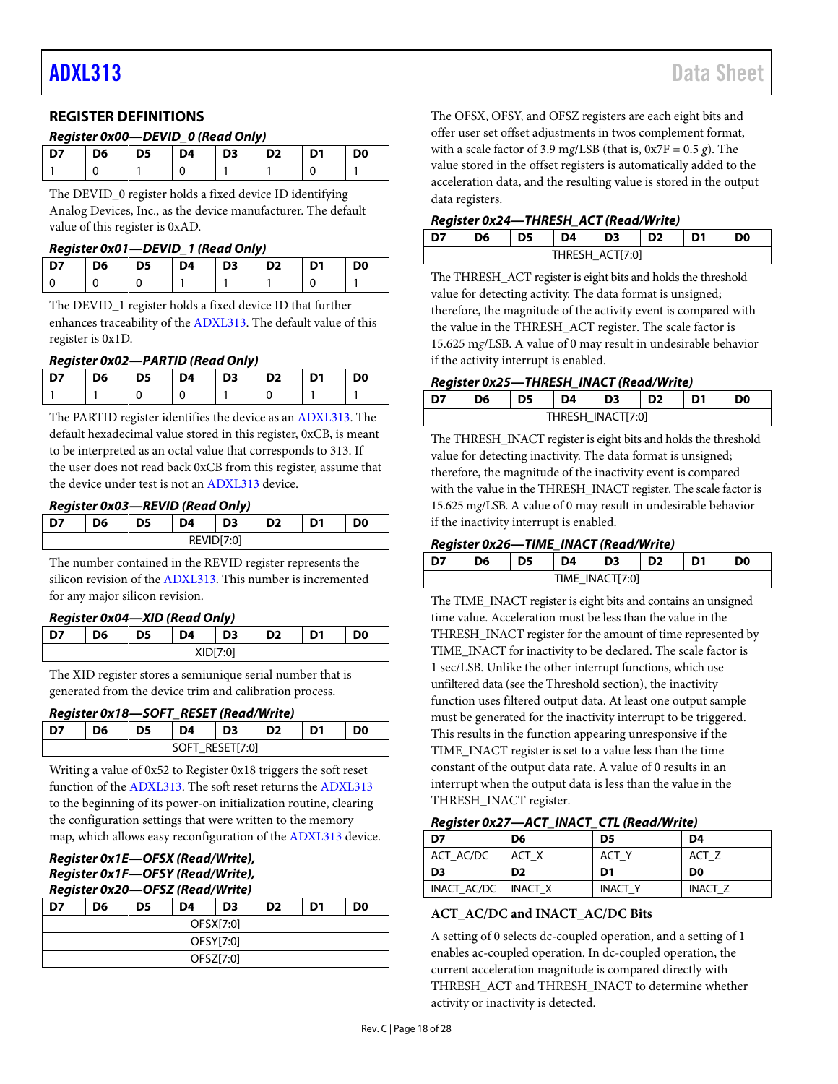#### <span id="page-17-0"></span>**REGISTER DEFINITIONS**

#### *Register 0x00—DEVID\_0 (Read Only)*

| כח | D6 | D5 | D4 | $\overline{D}$ | D <sub>2</sub> | D1 | D <sub>0</sub> |
|----|----|----|----|----------------|----------------|----|----------------|
|    |    |    |    |                |                |    |                |

The DEVID\_0 register holds a fixed device ID identifying Analog Devices, Inc., as the device manufacturer. The default value of this register is 0xAD.

#### *Register 0x01—DEVID\_1 (Read Only)*

| D7 | D6   D5   D4   D3   D2   D1 |  |  | $\overline{D}$ |
|----|-----------------------------|--|--|----------------|
|    |                             |  |  |                |

The DEVID\_1 register holds a fixed device ID that further enhances traceability of th[e ADXL313.](https://www.analog.com/adxl313?doc=adxl313.pdf) The default value of this register is 0x1D.

#### *Register 0x02—PARTID (Read Only)*

| D7 | $\overline{5}$ |  | D5   D4   D3   D2   D1 | D <sub>0</sub> |
|----|----------------|--|------------------------|----------------|
|    |                |  |                        |                |

The PARTID register identifies the device as a[n ADXL313.](https://www.analog.com/adxl313?doc=adxl313.pdf) The default hexadecimal value stored in this register, 0xCB, is meant to be interpreted as an octal value that corresponds to 313. If the user does not read back 0xCB from this register, assume that the device under test is not a[n ADXL313](https://www.analog.com/adxl313?doc=adxl313.pdf) device.

#### *Register 0x03—REVID (Read Only)*

| 16 | כי | 74              | D3       | גר | D1 | 90 |
|----|----|-----------------|----------|----|----|----|
|    |    | REVIL<br>∧∟עווע | /ID[7:0] |    |    |    |

The number contained in the REVID register represents the silicon revision of th[e ADXL313.](https://www.analog.com/adxl313?doc=adxl313.pdf) This number is incremented for any major silicon revision.

#### *Register 0x04—XID (Read Only)*

| $\sim$ |    |    |          |    |                |    |    |  |
|--------|----|----|----------|----|----------------|----|----|--|
|        | D6 | D5 | D4       | D3 | D <sub>2</sub> | D1 | D0 |  |
|        |    |    | XID[7:0] |    |                |    |    |  |

The XID register stores a semiunique serial number that is generated from the device trim and calibration process.

#### *Register 0x18—SOFT\_RESET (Read/Write)*

|    |    |                 | ____ | - - - |                |
|----|----|-----------------|------|-------|----------------|
| D6 | D5 | D4              | D3   | D2    | D <sub>0</sub> |
|    |    | SOFT RESET[7:0] |      |       |                |

Writing a value of 0x52 to Register 0x18 triggers the soft reset function of th[e ADXL313.](https://www.analog.com/adxl313?doc=adxl313.pdf) The soft reset returns th[e ADXL313](https://www.analog.com/adxl313?doc=adxl313.pdf) to the beginning of its power-on initialization routine, clearing the configuration settings that were written to the memory map, which allows easy reconfiguration of th[e ADXL313](https://www.analog.com/adxl313?doc=adxl313.pdf) device.

#### *Register 0x1E—OFSX (Read/Write), Register 0x1F—OFSY (Read/Write), Register 0x20—OFSZ (Read/Write)*

| לח        | D6 | D5 | D4        | D <sub>3</sub> | D <sub>2</sub> | D1 | D <sub>0</sub> |
|-----------|----|----|-----------|----------------|----------------|----|----------------|
| OFSX[7:0] |    |    |           |                |                |    |                |
| OFSY[7:0] |    |    |           |                |                |    |                |
|           |    |    | OFSZ[7:0] |                |                |    |                |

The OFSX, OFSY, and OFSZ registers are each eight bits and offer user set offset adjustments in twos complement format, with a scale factor of 3.9 mg/LSB (that is,  $0x7F = 0.5 g$ ). The value stored in the offset registers is automatically added to the acceleration data, and the resulting value is stored in the output data registers.

#### *Register 0x24—THRESH\_ACT (Read/Write)*

| D6 | D5 | D4 | D <sub>3</sub>  | D2 | D0 |
|----|----|----|-----------------|----|----|
|    |    |    | THRESH_ACT[7:0] |    |    |

The THRESH\_ACT register is eight bits and holds the threshold value for detecting activity. The data format is unsigned; therefore, the magnitude of the activity event is compared with the value in the THRESH\_ACT register. The scale factor is 15.625 m*g*/LSB. A value of 0 may result in undesirable behavior if the activity interrupt is enabled.

#### *Register 0x25—THRESH\_INACT (Read/Write)*

| D6 | D <sub>5</sub> | D4                | D <sub>3</sub> | D <sub>2</sub> | D1 | D <sub>0</sub> |
|----|----------------|-------------------|----------------|----------------|----|----------------|
|    |                | THRESH_INACT[7:0] |                |                |    |                |

The THRESH\_INACT register is eight bits and holds the threshold value for detecting inactivity. The data format is unsigned; therefore, the magnitude of the inactivity event is compared with the value in the THRESH\_INACT register. The scale factor is 15.625 m*g*/LSB. A value of 0 may result in undesirable behavior if the inactivity interrupt is enabled.

#### *Register 0x26—TIME\_INACT (Read/Write)*

| D6 | D4              | D <sub>3</sub> | D <sub>2</sub> | D1 | D0 |
|----|-----------------|----------------|----------------|----|----|
|    | TIME_INACT[7:0] |                |                |    |    |

The TIME\_INACT register is eight bits and contains an unsigned time value. Acceleration must be less than the value in the THRESH\_INACT register for the amount of time represented by TIME\_INACT for inactivity to be declared. The scale factor is 1 sec/LSB. Unlike the other interrupt functions, which use unfiltered data (see th[e Threshold](#page-21-3) section), the inactivity function uses filtered output data. At least one output sample must be generated for the inactivity interrupt to be triggered. This results in the function appearing unresponsive if the TIME\_INACT register is set to a value less than the time constant of the output data rate. A value of 0 results in an interrupt when the output data is less than the value in the THRESH\_INACT register.

#### *Register 0x27—ACT\_INACT\_CTL (Read/Write)*

| D7          | D6             | D <sub>5</sub> | D4             |
|-------------|----------------|----------------|----------------|
| ACT AC/DC   | ACT X          | ACT Y          | ACT Z          |
| D3          | D <sub>2</sub> | D1             | D <sub>0</sub> |
| INACT AC/DC | INACT X        | <b>INACT Y</b> | <b>INACT Z</b> |

#### **ACT\_AC/DC and INACT\_AC/DC Bits**

A setting of 0 selects dc-coupled operation, and a setting of 1 enables ac-coupled operation. In dc-coupled operation, the current acceleration magnitude is compared directly with THRESH\_ACT and THRESH\_INACT to determine whether activity or inactivity is detected.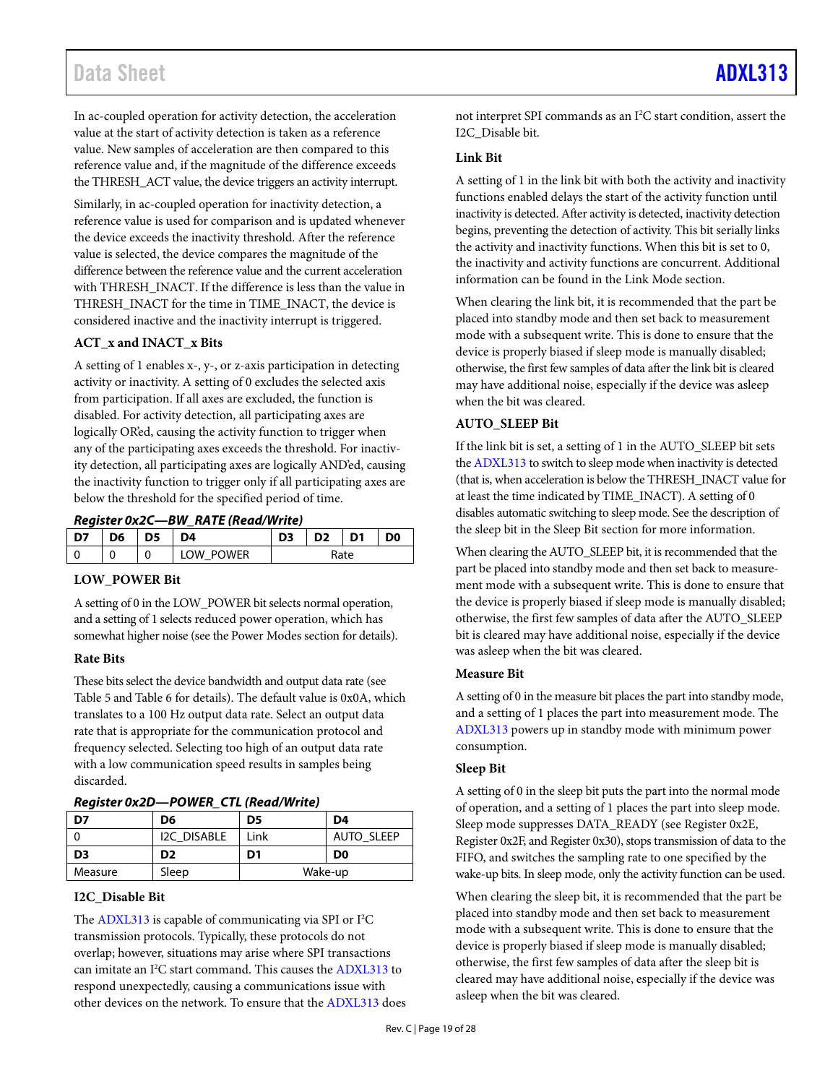### Data Sheet [ADXL313](https://www.analog.com/adxl313?doc=adxl313.pdf)

In ac-coupled operation for activity detection, the acceleration value at the start of activity detection is taken as a reference value. New samples of acceleration are then compared to this reference value and, if the magnitude of the difference exceeds the THRESH\_ACT value, the device triggers an activity interrupt.

Similarly, in ac-coupled operation for inactivity detection, a reference value is used for comparison and is updated whenever the device exceeds the inactivity threshold. After the reference value is selected, the device compares the magnitude of the difference between the reference value and the current acceleration with THRESH\_INACT. If the difference is less than the value in THRESH\_INACT for the time in TIME\_INACT, the device is considered inactive and the inactivity interrupt is triggered.

#### **ACT\_x and INACT\_x Bits**

A setting of 1 enables x-, y-, or z-axis participation in detecting activity or inactivity. A setting of 0 excludes the selected axis from participation. If all axes are excluded, the function is disabled. For activity detection, all participating axes are logically OR'ed, causing the activity function to trigger when any of the participating axes exceeds the threshold. For inactivity detection, all participating axes are logically AND'ed, causing the inactivity function to trigger only if all participating axes are below the threshold for the specified period of time.

*Register 0x2C—BW\_RATE (Read/Write)*

| D7 | D6 | --<br>כט | 94                      | ~~ | D1   | D <sub>0</sub> |
|----|----|----------|-------------------------|----|------|----------------|
|    |    | 0        | <b>OWER</b><br>זט<br>או |    | Rate |                |

#### **LOW\_POWER Bit**

A setting of 0 in the LOW\_POWER bit selects normal operation, and a setting of 1 selects reduced power operation, which has somewhat higher noise (see th[e Power Modes](#page-7-5) section for details).

#### **Rate Bits**

These bits select the device bandwidth and output data rate (see [Table 5](#page-7-3) and [Table 6](#page-7-4) for details). The default value is 0x0A, which translates to a 100 Hz output data rate. Select an output data rate that is appropriate for the communication protocol and frequency selected. Selecting too high of an output data rate with a low communication speed results in samples being discarded.

*Register 0x2D—POWER\_CTL (Read/Write)*

|                |                | $1.9919191$ $2.129$ $1.911211$ $3.121139$ $3.111139$ |                   |  |  |  |  |
|----------------|----------------|------------------------------------------------------|-------------------|--|--|--|--|
| D7             | D6             | D <sub>5</sub>                                       | D4                |  |  |  |  |
|                | I2C DISABLE    | Link                                                 | <b>AUTO SLEEP</b> |  |  |  |  |
| D <sub>3</sub> | D <sub>2</sub> | D1                                                   | D <sub>0</sub>    |  |  |  |  |
| Measure        | Sleep          |                                                      | Wake-up           |  |  |  |  |

#### **I2C\_Disable Bit**

The [ADXL313](https://www.analog.com/adxl313?doc=adxl313.pdf) is capable of communicating via SPI or I<sup>2</sup>C transmission protocols. Typically, these protocols do not overlap; however, situations may arise where SPI transactions can imitate an I 2 C start command. This causes th[e ADXL313](https://www.analog.com/adxl313?doc=adxl313.pdf) to respond unexpectedly, causing a communications issue with other devices on the network. To ensure that th[e ADXL313](https://www.analog.com/adxl313?doc=adxl313.pdf) does

not interpret SPI commands as an I<sup>2</sup>C start condition, assert the I2C\_Disable bit.

#### **Link Bit**

A setting of 1 in the link bit with both the activity and inactivity functions enabled delays the start of the activity function until inactivity is detected. After activity is detected, inactivity detection begins, preventing the detection of activity. This bit serially links the activity and inactivity functions. When this bit is set to 0, the inactivity and activity functions are concurrent. Additional information can be found in th[e Link Mode](#page-21-4) section.

When clearing the link bit, it is recommended that the part be placed into standby mode and then set back to measurement mode with a subsequent write. This is done to ensure that the device is properly biased if sleep mode is manually disabled; otherwise, the first few samples of data after the link bit is cleared may have additional noise, especially if the device was asleep when the bit was cleared.

#### **AUTO\_SLEEP Bit**

If the link bit is set, a setting of 1 in the AUTO\_SLEEP bit sets th[e ADXL313](https://www.analog.com/adxl313?doc=adxl313.pdf) to switch to sleep mode when inactivity is detected (that is, when acceleration is below the THRESH\_INACT value for at least the time indicated by TIME\_INACT). A setting of 0 disables automatic switching to sleep mode. See the description of the sleep bit in the [Sleep Bit](#page-18-0) section for more information.

When clearing the AUTO\_SLEEP bit, it is recommended that the part be placed into standby mode and then set back to measurement mode with a subsequent write. This is done to ensure that the device is properly biased if sleep mode is manually disabled; otherwise, the first few samples of data after the AUTO\_SLEEP bit is cleared may have additional noise, especially if the device was asleep when the bit was cleared.

#### **Measure Bit**

A setting of 0 in the measure bit places the part into standby mode, and a setting of 1 places the part into measurement mode. The [ADXL313](https://www.analog.com/adxl313?doc=adxl313.pdf) powers up in standby mode with minimum power consumption.

#### <span id="page-18-0"></span>**Sleep Bit**

A setting of 0 in the sleep bit puts the part into the normal mode of operation, and a setting of 1 places the part into sleep mode. Sleep mode suppresses DATA\_READY (see Register 0x2E, Register 0x2F, and Register 0x30), stops transmission of data to the FIFO, and switches the sampling rate to one specified by the wake-up bits. In sleep mode, only the activity function can be used.

When clearing the sleep bit, it is recommended that the part be placed into standby mode and then set back to measurement mode with a subsequent write. This is done to ensure that the device is properly biased if sleep mode is manually disabled; otherwise, the first few samples of data after the sleep bit is cleared may have additional noise, especially if the device was asleep when the bit was cleared.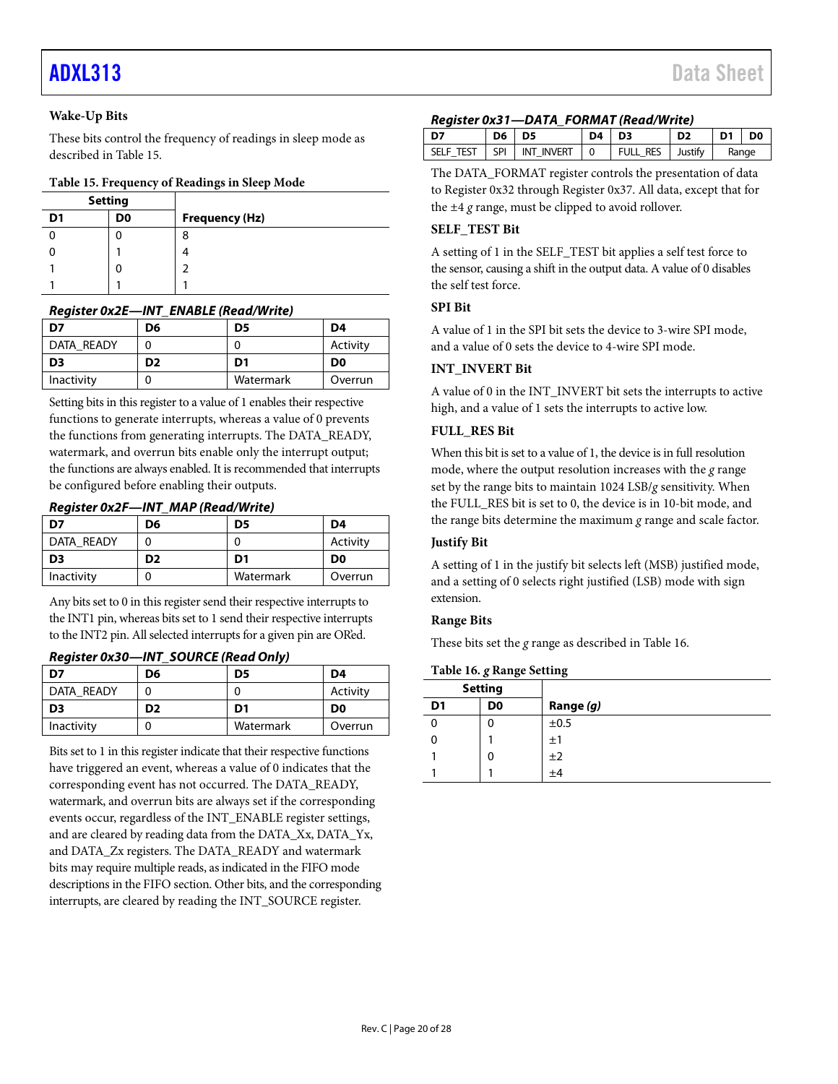#### **Wake-Up Bits**

These bits control the frequency of readings in sleep mode as described in [Table 15.](#page-19-0)

#### <span id="page-19-0"></span>**Table 15. Frequency of Readings in Sleep Mode**

| <b>Setting</b> |    |                       |
|----------------|----|-----------------------|
| D <sub>1</sub> | D0 | <b>Frequency (Hz)</b> |
|                |    | 8                     |
|                |    |                       |
|                | J  | ำ                     |
|                |    |                       |

#### *Register 0x2E—INT\_ENABLE (Read/Write)*

| D7             | D6 | D5        | D4             |
|----------------|----|-----------|----------------|
| DATA READY     |    |           | Activity       |
| D <sub>3</sub> | D2 | D1        | D <sub>0</sub> |
| Inactivity     |    | Watermark | Overrun        |

Setting bits in this register to a value of 1 enables their respective functions to generate interrupts, whereas a value of 0 prevents the functions from generating interrupts. The DATA\_READY, watermark, and overrun bits enable only the interrupt output; the functions are always enabled. It is recommended that interrupts be configured before enabling their outputs.

#### *Register 0x2F—INT\_MAP (Read/Write)*

| D7             | D6             | D5        | D4             |
|----------------|----------------|-----------|----------------|
| DATA READY     |                |           | Activity       |
| D <sub>3</sub> | D <sub>2</sub> | D1        | D <sub>0</sub> |
| Inactivity     |                | Watermark | Overrun        |

Any bits set to 0 in this register send their respective interrupts to the INT1 pin, whereas bits set to 1 send their respective interrupts to the INT2 pin. All selected interrupts for a given pin are OR'ed.

#### *Register 0x30—INT\_SOURCE (Read Only)*

| D7         | D6             | D5        | D4             |
|------------|----------------|-----------|----------------|
| DATA READY |                |           | Activity       |
| D3         | D <sub>2</sub> | D1        | D <sub>0</sub> |
| Inactivity |                | Watermark | Overrun        |

Bits set to 1 in this register indicate that their respective functions have triggered an event, whereas a value of 0 indicates that the corresponding event has not occurred. The DATA\_READY, watermark, and overrun bits are always set if the corresponding events occur, regardless of the INT\_ENABLE register settings, and are cleared by reading data from the DATA\_Xx, DATA\_Yx, and DATA\_Zx registers. The DATA\_READY and watermark bits may require multiple reads, as indicated in the FIFO mode descriptions in th[e FIFO](#page-14-1) section. Other bits, and the corresponding interrupts, are cleared by reading the INT\_SOURCE register.

#### *Register 0x31—DATA\_FORMAT (Read/Write)*

| <b>D7</b> | $D6$ $D5$ |                              | $D4$ $D3$      |                         | D <sub>2</sub> | D1 D0 |  |
|-----------|-----------|------------------------------|----------------|-------------------------|----------------|-------|--|
|           |           | SELF TEST   SPI   INT INVERT | $\overline{0}$ | <b>FULL RES</b> Justify |                | Range |  |

The DATA\_FORMAT register controls the presentation of data to Register 0x32 through Register 0x37. All data, except that for the ±4 *g* range, must be clipped to avoid rollover.

#### **SELF\_TEST Bit**

A setting of 1 in the SELF\_TEST bit applies a self test force to the sensor, causing a shift in the output data. A value of 0 disables the self test force.

#### **SPI Bit**

A value of 1 in the SPI bit sets the device to 3-wire SPI mode, and a value of 0 sets the device to 4-wire SPI mode.

#### **INT\_INVERT Bit**

A value of 0 in the INT\_INVERT bit sets the interrupts to active high, and a value of 1 sets the interrupts to active low.

#### **FULL\_RES Bit**

When this bit is set to a value of 1, the device is in full resolution mode, where the output resolution increases with the *g* range set by the range bits to maintain 1024 LSB/*g* sensitivity. When the FULL\_RES bit is set to 0, the device is in 10-bit mode, and the range bits determine the maximum *g* range and scale factor.

#### **Justify Bit**

A setting of 1 in the justify bit selects left (MSB) justified mode, and a setting of 0 selects right justified (LSB) mode with sign extension.

#### **Range Bits**

These bits set the *g* range as described i[n Table 16.](#page-19-1)

#### <span id="page-19-1"></span>**Table 16.** *g* **Range Setting**

|                | <b>Setting</b> |           |
|----------------|----------------|-----------|
| D <sub>1</sub> | D0             | Range (g) |
|                | 0              | ±0.5      |
|                |                | ±1        |
|                | 0              | ±2        |
|                |                | $\pm 4$   |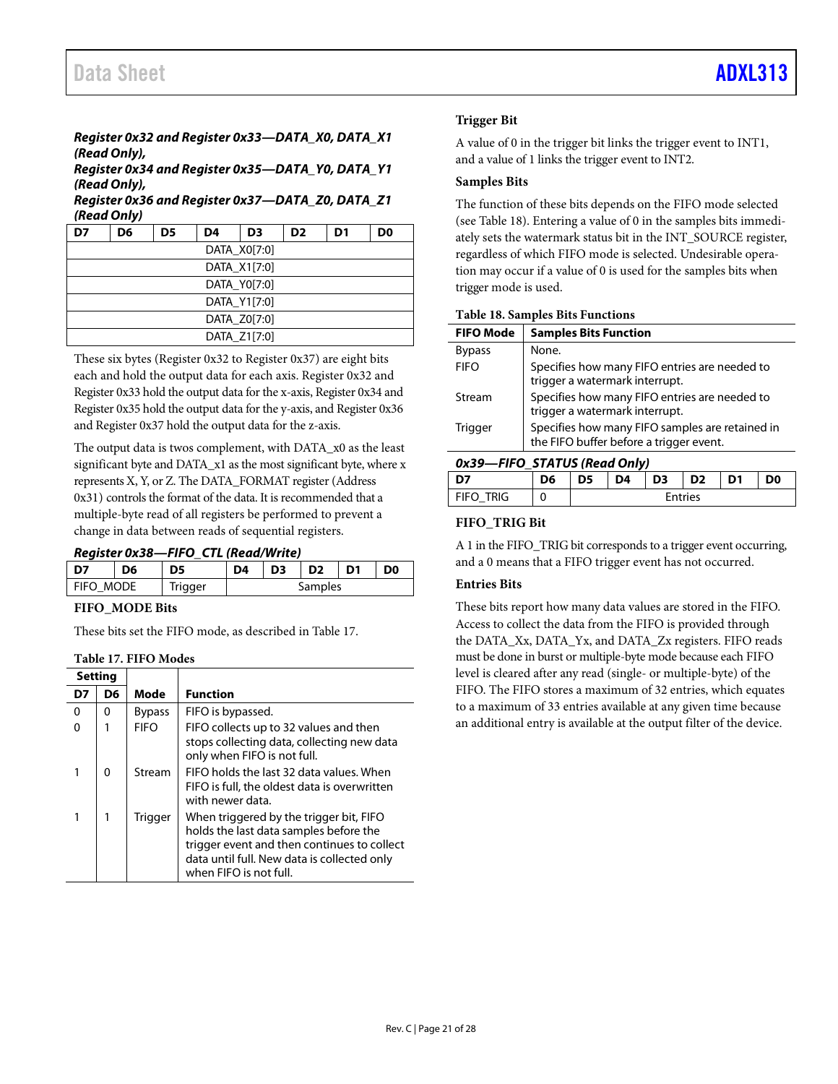### *Register 0x32 and Register 0x33—DATA\_X0, DATA\_X1 (Read Only),*

*Register 0x34 and Register 0x35—DATA\_Y0, DATA\_Y1 (Read Only),* 

#### *Register 0x36 and Register 0x37—DATA\_Z0, DATA\_Z1 (Read Only)*

| D7           | D6 | D5 | D4 | D <sub>3</sub> | D <sub>2</sub> | D1 | D0 |  |  |  |
|--------------|----|----|----|----------------|----------------|----|----|--|--|--|
|              |    |    |    | DATA X0[7:0]   |                |    |    |  |  |  |
| DATA X1[7:0] |    |    |    |                |                |    |    |  |  |  |
|              |    |    |    | DATA Y0[7:0]   |                |    |    |  |  |  |
|              |    |    |    | DATA Y1[7:0]   |                |    |    |  |  |  |
|              |    |    |    | DATA Z0[7:0]   |                |    |    |  |  |  |
|              |    |    |    | DATA Z1[7:0]   |                |    |    |  |  |  |

These six bytes (Register 0x32 to Register 0x37) are eight bits each and hold the output data for each axis. Register 0x32 and Register 0x33 hold the output data for the x-axis, Register 0x34 and Register 0x35 hold the output data for the y-axis, and Register 0x36 and Register 0x37 hold the output data for the z-axis.

The output data is twos complement, with DATA\_x0 as the least significant byte and DATA\_x1 as the most significant byte, where x represents X, Y, or Z. The DATA\_FORMAT register (Address 0x31) controls the format of the data. It is recommended that a multiple-byte read of all registers be performed to prevent a change in data between reads of sequential registers.

#### *Register 0x38—FIFO\_CTL (Read/Write)*

| כח        | D6 | D5      | D4 | D <sub>3</sub> |         | D <sub>0</sub> |
|-----------|----|---------|----|----------------|---------|----------------|
| FIFO MODE |    | frigger |    |                | Samples |                |

#### **FIFO\_MODE Bits**

These bits set the FIFO mode, as described i[n Table 17.](#page-20-0)

#### <span id="page-20-0"></span>**Table 17. FIFO Modes**

|    | Settina  |               |                                                                                                                                                                                                           |
|----|----------|---------------|-----------------------------------------------------------------------------------------------------------------------------------------------------------------------------------------------------------|
| D7 | D6       | Mode          | <b>Function</b>                                                                                                                                                                                           |
| 0  | 0        | <b>Bypass</b> | FIFO is bypassed.                                                                                                                                                                                         |
| O  |          | <b>FIFO</b>   | FIFO collects up to 32 values and then<br>stops collecting data, collecting new data<br>only when FIFO is not full.                                                                                       |
| 1  | $\Omega$ | Stream        | FIFO holds the last 32 data values. When<br>FIFO is full, the oldest data is overwritten<br>with newer data.                                                                                              |
|    |          | Trigger       | When triggered by the trigger bit, FIFO<br>holds the last data samples before the<br>trigger event and then continues to collect<br>data until full. New data is collected only<br>when FIFO is not full. |

#### **Trigger Bit**

A value of 0 in the trigger bit links the trigger event to INT1, and a value of 1 links the trigger event to INT2.

#### **Samples Bits**

The function of these bits depends on the FIFO mode selected (see [Table 18\)](#page-20-1). Entering a value of 0 in the samples bits immediately sets the watermark status bit in the INT\_SOURCE register, regardless of which FIFO mode is selected. Undesirable operation may occur if a value of 0 is used for the samples bits when trigger mode is used.

#### <span id="page-20-1"></span>**Table 18. Samples Bits Functions**

| <b>FIFO Mode</b> | <b>Samples Bits Function</b>                                                               |
|------------------|--------------------------------------------------------------------------------------------|
| <b>Bypass</b>    | None.                                                                                      |
| <b>FIFO</b>      | Specifies how many FIFO entries are needed to<br>trigger a watermark interrupt.            |
| Stream           | Specifies how many FIFO entries are needed to<br>trigger a watermark interrupt.            |
| Trigger          | Specifies how many FIFO samples are retained in<br>the FIFO buffer before a trigger event. |

#### *0x39—FIFO\_STATUS (Read Only)*

| <b></b>     |    |                                               |  |  |                |  |  |  |  |  |  |  |  |
|-------------|----|-----------------------------------------------|--|--|----------------|--|--|--|--|--|--|--|--|
| l D7        | D6 | D3<br>D <sub>2</sub><br>D4<br>D1<br>DO.<br>D5 |  |  |                |  |  |  |  |  |  |  |  |
| i fifo trig |    |                                               |  |  | <b>Entries</b> |  |  |  |  |  |  |  |  |

#### **FIFO\_TRIG Bit**

A 1 in the FIFO\_TRIG bit corresponds to a trigger event occurring, and a 0 means that a FIFO trigger event has not occurred.

#### **Entries Bits**

These bits report how many data values are stored in the FIFO. Access to collect the data from the FIFO is provided through the DATA\_Xx, DATA\_Yx, and DATA\_Zx registers. FIFO reads must be done in burst or multiple-byte mode because each FIFO level is cleared after any read (single- or multiple-byte) of the FIFO. The FIFO stores a maximum of 32 entries, which equates to a maximum of 33 entries available at any given time because an additional entry is available at the output filter of the device.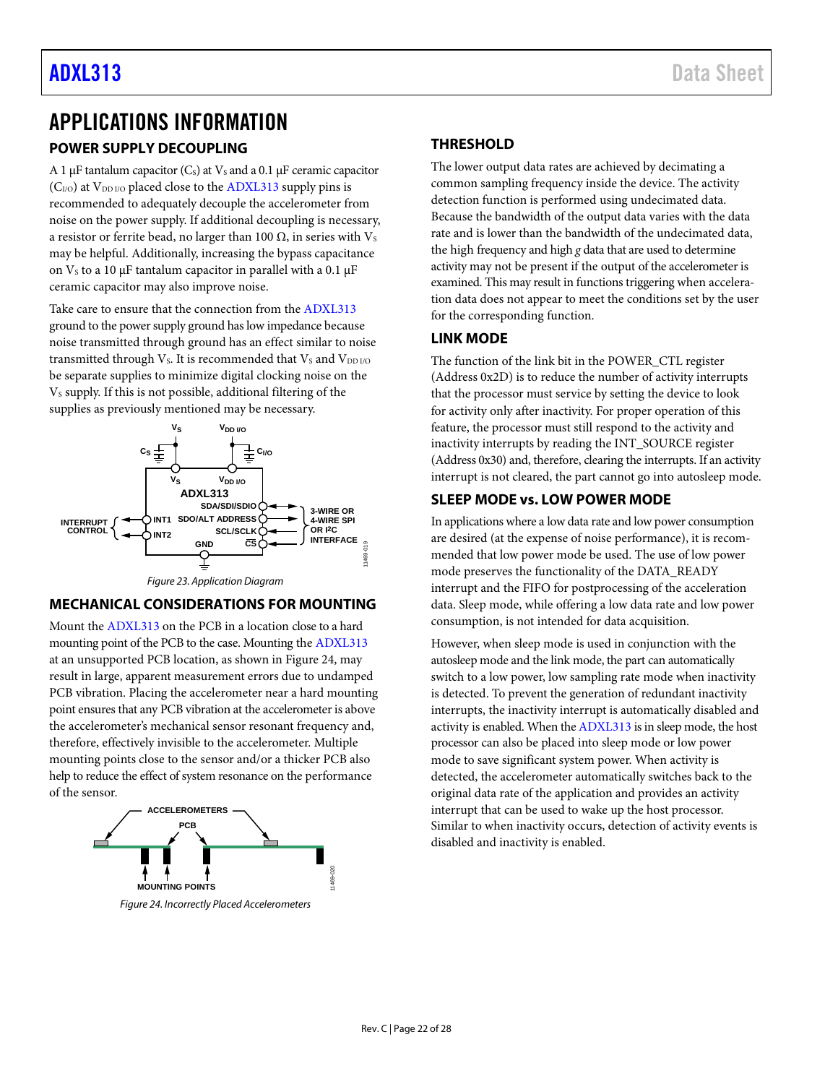## <span id="page-21-0"></span>APPLICATIONS INFORMATION

### <span id="page-21-1"></span>**POWER SUPPLY DECOUPLING**

A 1 μF tantalum capacitor (C<sub>s</sub>) at  $V_s$  and a 0.1 μF ceramic capacitor  $(C<sub>I/O</sub>)$  at  $V<sub>DD I/O</sub>$  placed close to th[e ADXL313](https://www.analog.com/adxl313?doc=adxl313.pdf) supply pins is recommended to adequately decouple the accelerometer from noise on the power supply. If additional decoupling is necessary, a resistor or ferrite bead, no larger than 100  $Ω$ , in series with  $V_s$ may be helpful. Additionally, increasing the bypass capacitance on  $V_s$  to a 10 μF tantalum capacitor in parallel with a 0.1 μF ceramic capacitor may also improve noise.

Take care to ensure that the connection from the [ADXL313](https://www.analog.com/adxl313?doc=adxl313.pdf) ground to the power supply ground has low impedance because noise transmitted through ground has an effect similar to noise transmitted through  $V_s$ . It is recommended that  $V_s$  and  $V_{DD\,I/O}$ be separate supplies to minimize digital clocking noise on the V<sub>s</sub> supply. If this is not possible, additional filtering of the supplies as previously mentioned may be necessary.



*Figure 23. Application Diagram*

### <span id="page-21-2"></span>**MECHANICAL CONSIDERATIONS FOR MOUNTING**

Mount th[e ADXL313](https://www.analog.com/adxl313?doc=adxl313.pdf) on the PCB in a location close to a hard mounting point of the PCB to the case. Mounting th[e ADXL313](https://www.analog.com/adxl313?doc=adxl313.pdf) at an unsupported PCB location, as shown i[n Figure 24,](#page-21-6) may result in large, apparent measurement errors due to undamped PCB vibration. Placing the accelerometer near a hard mounting point ensures that any PCB vibration at the accelerometer is above the accelerometer's mechanical sensor resonant frequency and, therefore, effectively invisible to the accelerometer. Multiple mounting points close to the sensor and/or a thicker PCB also help to reduce the effect of system resonance on the performance of the sensor.

<span id="page-21-6"></span>

#### <span id="page-21-3"></span>**THRESHOLD**

The lower output data rates are achieved by decimating a common sampling frequency inside the device. The activity detection function is performed using undecimated data. Because the bandwidth of the output data varies with the data rate and is lower than the bandwidth of the undecimated data, the high frequency and high *g* data that are used to determine activity may not be present if the output of the accelerometer is examined. This may result in functions triggering when acceleration data does not appear to meet the conditions set by the user for the corresponding function.

#### <span id="page-21-4"></span>**LINK MODE**

The function of the link bit in the POWER\_CTL register (Address 0x2D) is to reduce the number of activity interrupts that the processor must service by setting the device to look for activity only after inactivity. For proper operation of this feature, the processor must still respond to the activity and inactivity interrupts by reading the INT\_SOURCE register (Address 0x30) and, therefore, clearing the interrupts. If an activity interrupt is not cleared, the part cannot go into autosleep mode.

#### <span id="page-21-5"></span>**SLEEP MODE vs. LOW POWER MODE**

In applications where a low data rate and low power consumption are desired (at the expense of noise performance), it is recommended that low power mode be used. The use of low power mode preserves the functionality of the DATA\_READY interrupt and the FIFO for postprocessing of the acceleration data. Sleep mode, while offering a low data rate and low power consumption, is not intended for data acquisition.

However, when sleep mode is used in conjunction with the autosleep mode and the link mode, the part can automatically switch to a low power, low sampling rate mode when inactivity is detected. To prevent the generation of redundant inactivity interrupts, the inactivity interrupt is automatically disabled and activity is enabled. When th[e ADXL313](https://www.analog.com/adxl313?doc=adxl313.pdf) is in sleep mode, the host processor can also be placed into sleep mode or low power mode to save significant system power. When activity is detected, the accelerometer automatically switches back to the original data rate of the application and provides an activity interrupt that can be used to wake up the host processor. Similar to when inactivity occurs, detection of activity events is disabled and inactivity is enabled.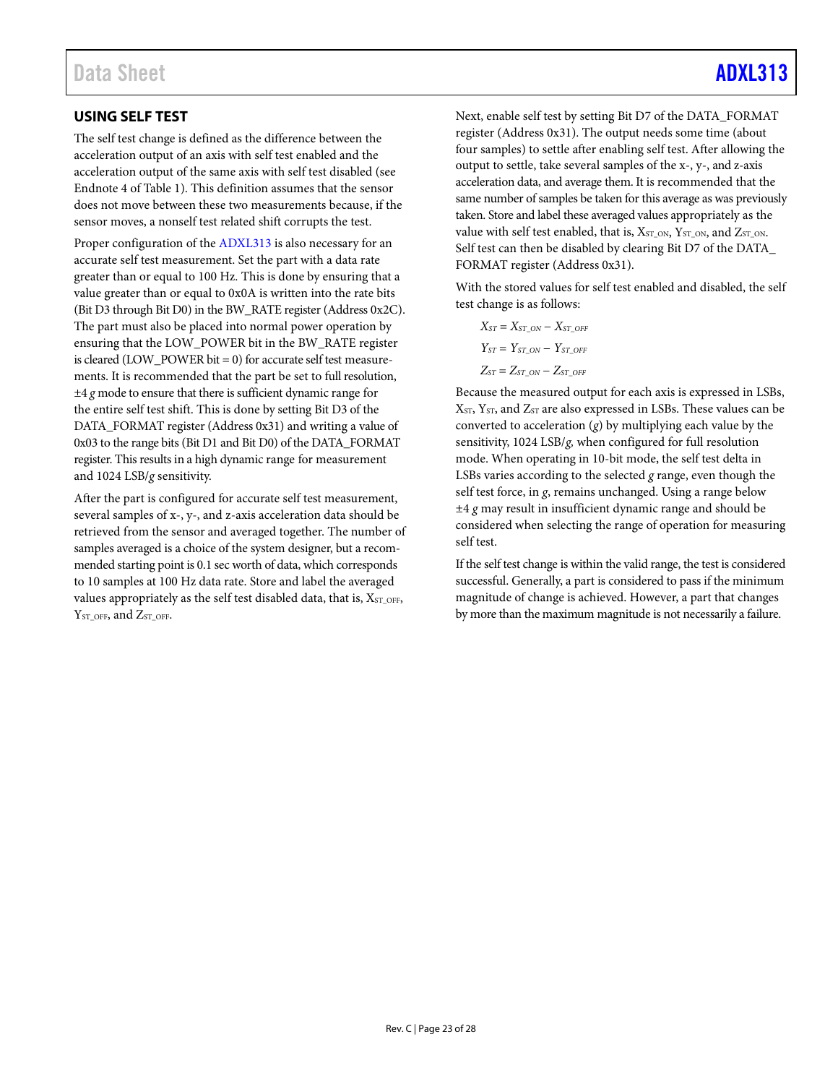### <span id="page-22-0"></span>**USING SELF TEST**

The self test change is defined as the difference between the acceleration output of an axis with self test enabled and the acceleration output of the same axis with self test disabled (see Endnote 4 of [Table 1\)](#page-2-1). This definition assumes that the sensor does not move between these two measurements because, if the sensor moves, a nonself test related shift corrupts the test.

Proper configuration of the [ADXL313](https://www.analog.com/adxl313?doc=adxl313.pdf) is also necessary for an accurate self test measurement. Set the part with a data rate greater than or equal to 100 Hz. This is done by ensuring that a value greater than or equal to 0x0A is written into the rate bits (Bit D3 through Bit D0) in the BW\_RATE register (Address 0x2C). The part must also be placed into normal power operation by ensuring that the LOW\_POWER bit in the BW\_RATE register is cleared (LOW\_POWER bit = 0) for accurate self test measurements. It is recommended that the part be set to full resolution, ±4 *g* mode to ensure that there is sufficient dynamic range for the entire self test shift. This is done by setting Bit D3 of the DATA\_FORMAT register (Address 0x31) and writing a value of 0x03 to the range bits (Bit D1 and Bit D0) of the DATA\_FORMAT register. This results in a high dynamic range for measurement and 1024 LSB/*g* sensitivity.

After the part is configured for accurate self test measurement, several samples of x-, y-, and z-axis acceleration data should be retrieved from the sensor and averaged together. The number of samples averaged is a choice of the system designer, but a recommended starting point is 0.1 sec worth of data, which corresponds to 10 samples at 100 Hz data rate. Store and label the averaged values appropriately as the self test disabled data, that is,  $X_{ST\_OFF}$ ,  $Y<sub>ST OFF</sub>$ , and  $Z<sub>ST OFF</sub>$ .

Next, enable self test by setting Bit D7 of the DATA\_FORMAT register (Address 0x31). The output needs some time (about four samples) to settle after enabling self test. After allowing the output to settle, take several samples of the x-, y-, and z-axis acceleration data, and average them. It is recommended that the same number of samples be taken for this average as was previously taken. Store and label these averaged values appropriately as the value with self test enabled, that is,  $X_{ST\_ON}$ ,  $Y_{ST\_ON}$ , and  $Z_{ST\_ON}$ . Self test can then be disabled by clearing Bit D7 of the DATA\_ FORMAT register (Address 0x31).

With the stored values for self test enabled and disabled, the self test change is as follows:

 $X_{ST} = X_{ST}$  *ON* −  $X_{ST}$  *OFF*  $Y_{ST} = Y_{ST}$ <sub>ON</sub> −  $Y_{ST}$ <sub>OFF</sub>  $Z_{ST} = Z_{ST}$  *ON* −  $Z_{ST}$  *OFF* 

Because the measured output for each axis is expressed in LSBs, XST, YST, and ZST are also expressed in LSBs. These values can be converted to acceleration (*g*) by multiplying each value by the sensitivity, 1024 LSB/*g,* when configured for full resolution mode. When operating in 10-bit mode, the self test delta in LSBs varies according to the selected *g* range, even though the self test force, in *g*, remains unchanged. Using a range below ±4 *g* may result in insufficient dynamic range and should be considered when selecting the range of operation for measuring self test.

If the self test change is within the valid range, the test is considered successful. Generally, a part is considered to pass if the minimum magnitude of change is achieved. However, a part that changes by more than the maximum magnitude is not necessarily a failure.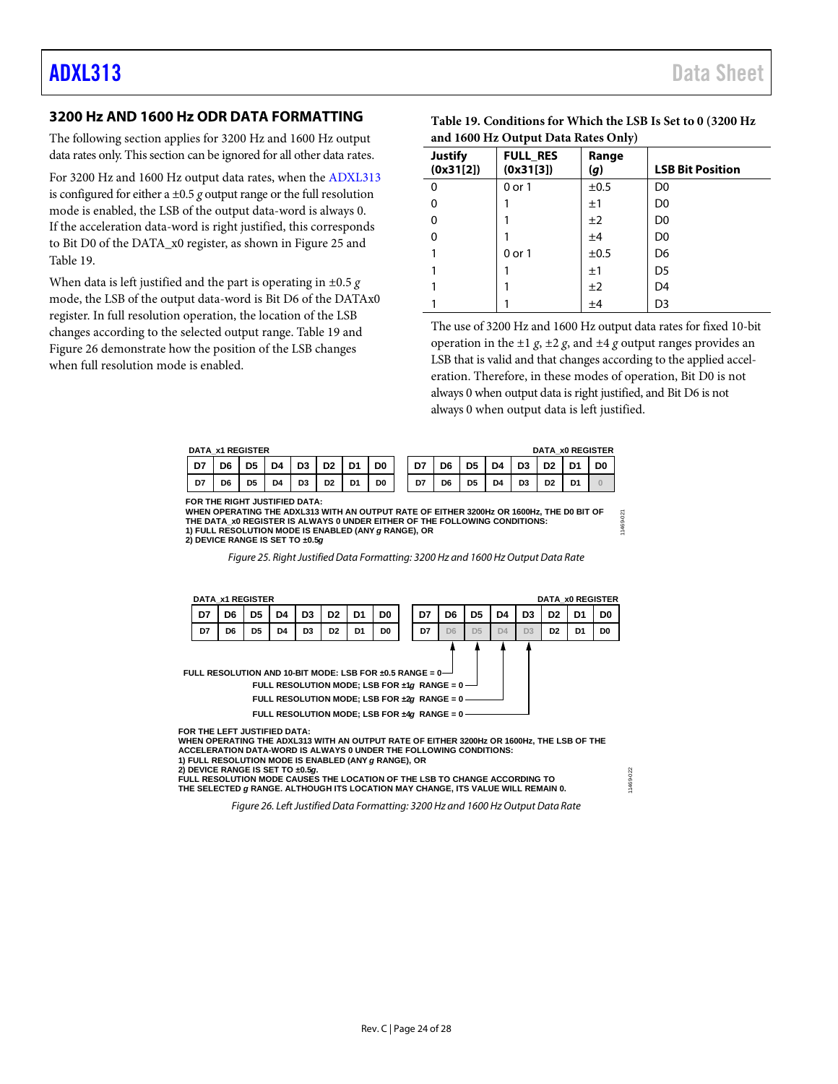#### <span id="page-23-0"></span>**3200 Hz AND 1600 Hz ODR DATA FORMATTING**

The following section applies for 3200 Hz and 1600 Hz output data rates only. This section can be ignored for all other data rates.

For 3200 Hz and 1600 Hz output data rates, when the [ADXL313](https://www.analog.com/adxl313?doc=adxl313.pdf) is configured for either a  $\pm 0.5$  *g* output range or the full resolution mode is enabled, the LSB of the output data-word is always 0. If the acceleration data-word is right justified, this corresponds to Bit D0 of the DATA\_x0 register, as shown i[n Figure 25](#page-23-1) and [Table 19.](#page-23-2) 

When data is left justified and the part is operating in ±0.5 *g* mode, the LSB of the output data-word is Bit D6 of the DATAx0 register. In full resolution operation, the location of the LSB changes according to the selected output range. [Table 19](#page-23-2) and [Figure 26](#page-23-3) demonstrate how the position of the LSB changes when full resolution mode is enabled.

<span id="page-23-2"></span>

| Table 19. Conditions for Which the LSB Is Set to 0 (3200 Hz) |
|--------------------------------------------------------------|
| and 1600 Hz Output Data Rates Only)                          |

| <b>Justify</b><br>(0x31[2]) | <b>FULL_RES</b><br>(0x31[3]) | Range<br>(g) | <b>LSB Bit Position</b> |  |  |  |  |
|-----------------------------|------------------------------|--------------|-------------------------|--|--|--|--|
| $\Omega$                    | $0$ or $1$                   | ±0.5         | D <sub>0</sub>          |  |  |  |  |
| 0                           |                              | ±1           | D <sub>0</sub>          |  |  |  |  |
| 0                           |                              | ±2           | D <sub>0</sub>          |  |  |  |  |
| 0                           |                              | ±4           | D <sub>0</sub>          |  |  |  |  |
|                             | 0 or 1                       | ±0.5         | D <sub>6</sub>          |  |  |  |  |
|                             |                              | ±1           | D5                      |  |  |  |  |
|                             |                              | ±2           | D4                      |  |  |  |  |
|                             |                              | ±4           | D <sub>3</sub>          |  |  |  |  |

The use of 3200 Hz and 1600 Hz output data rates for fixed 10-bit operation in the  $\pm 1$  *g*,  $\pm 2$  *g*, and  $\pm 4$  *g* output ranges provides an LSB that is valid and that changes according to the applied acceleration. Therefore, in these modes of operation, Bit D0 is not always 0 when output data is right justified, and Bit D6 is not always 0 when output data is left justified.

| DATA x1 REGISTER<br><b>DATA x0 REGISTER</b> |    |                |                |                |                |                |                |    |     |                |                |                |                |                |                |
|---------------------------------------------|----|----------------|----------------|----------------|----------------|----------------|----------------|----|-----|----------------|----------------|----------------|----------------|----------------|----------------|
| D7                                          | D6 | D5             | D4             | D <sub>3</sub> | D <sub>2</sub> | D <sub>1</sub> | D <sub>0</sub> | D7 | D6. | D <sub>5</sub> | D4             | D <sub>3</sub> | D <sub>2</sub> | D <sub>4</sub> | D <sub>0</sub> |
| D7                                          | D6 | D <sub>5</sub> | D <sub>4</sub> | D <sub>3</sub> | D <sub>2</sub> | D1             | D <sub>0</sub> | D7 | D6  | D <sub>5</sub> | D <sub>4</sub> | D <sub>3</sub> | D <sub>2</sub> | D <sub>1</sub> |                |

**FOR THE RIGHT JUSTIFIED DATA: WHEN OPERATING THE ADXL313 WITH AN OUTPUT RATE OF EITHER 3200Hz OR 1600Hz, THE D0 BIT OF** WHEN OPERATING THE AUXL313 WITH AN OUTPUT RATE OF EITHER 3200HZ OR 1600HZ, THE DU BIT OF<br>THE DATA\_X0 REGISTER IS ALWAYS 0 UNDER EITHER OF THE FOLLOWING CONDITIONS:<br>1) FULL RESOLUTION MODE IS ENABLED (ANY *g* RANGE), OR<br>2) **1) FULL RESOLUTION MODE IS ENABLED (ANY** *g* **RANGE), OR**

11469-022

1469-022

#### *Figure 25. Right Justified Data Formatting: 3200 Hz and 1600 Hz Output Data Rate*

<span id="page-23-1"></span>

**WHEN OPERATING THE ADXL313 WITH AN OUTPUT RATE OF EITHER 3200Hz OR 1600Hz, THE LSB OF THE ACCELERATION DATA-WORD IS ALWAYS 0 UNDER THE FOLLOWING CONDITIONS: 1) FULL RESOLUTION MODE IS ENABLED (ANY** *g* **RANGE), OR**

<span id="page-23-3"></span>**2) DEVICE RANGE IS SET TO ±0.5***g***. FULL RESOLUTION MODE CAUSES THE LOCATION OF THE LSB TO CHANGE ACCORDING TO THE SELECTED** *g* **RANGE. ALTHOUGH ITS LOCATION MAY CHANGE, ITS VALUE WILL REMAIN 0.**

*Figure 26. Left Justified Data Formatting: 3200 Hz and 1600 Hz Output Data Rate*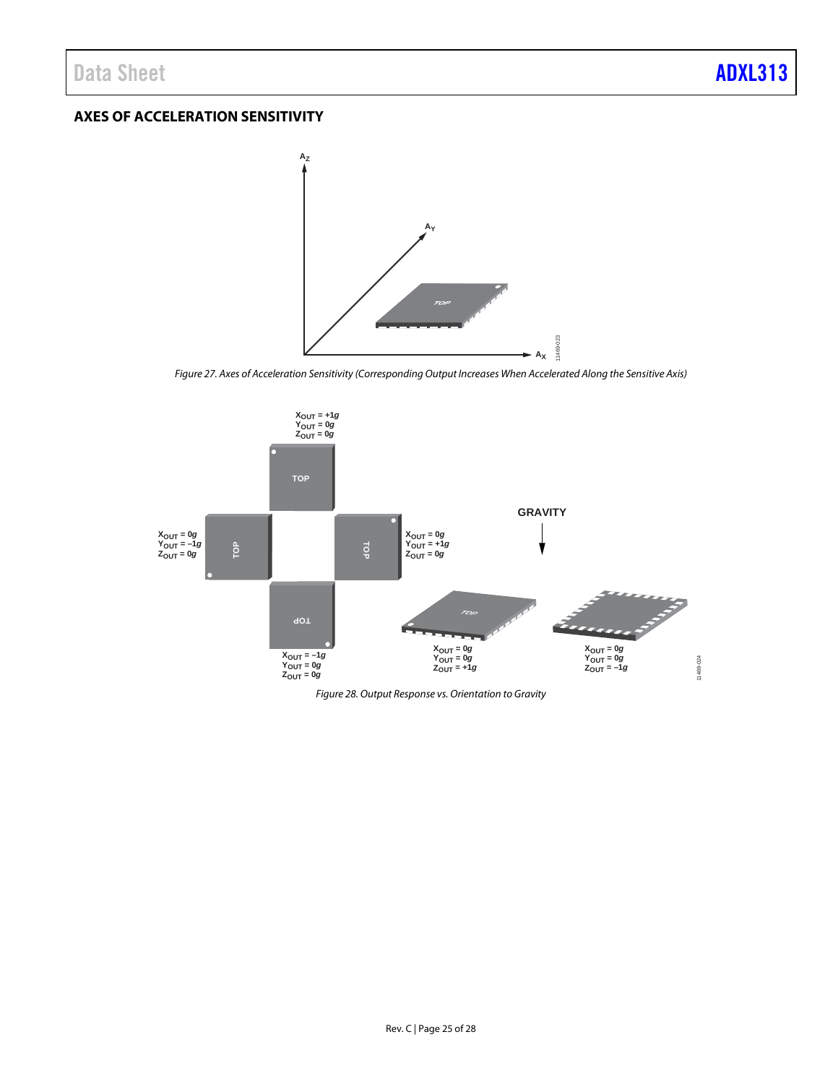### <span id="page-24-0"></span>**AXES OF ACCELERATION SENSITIVITY**



*Figure 27. Axes of Acceleration Sensitivity (Corresponding Output Increases When Accelerated Along the Sensitive Axis)*



*Figure 28. Output Response vs. Orientation to Gravity*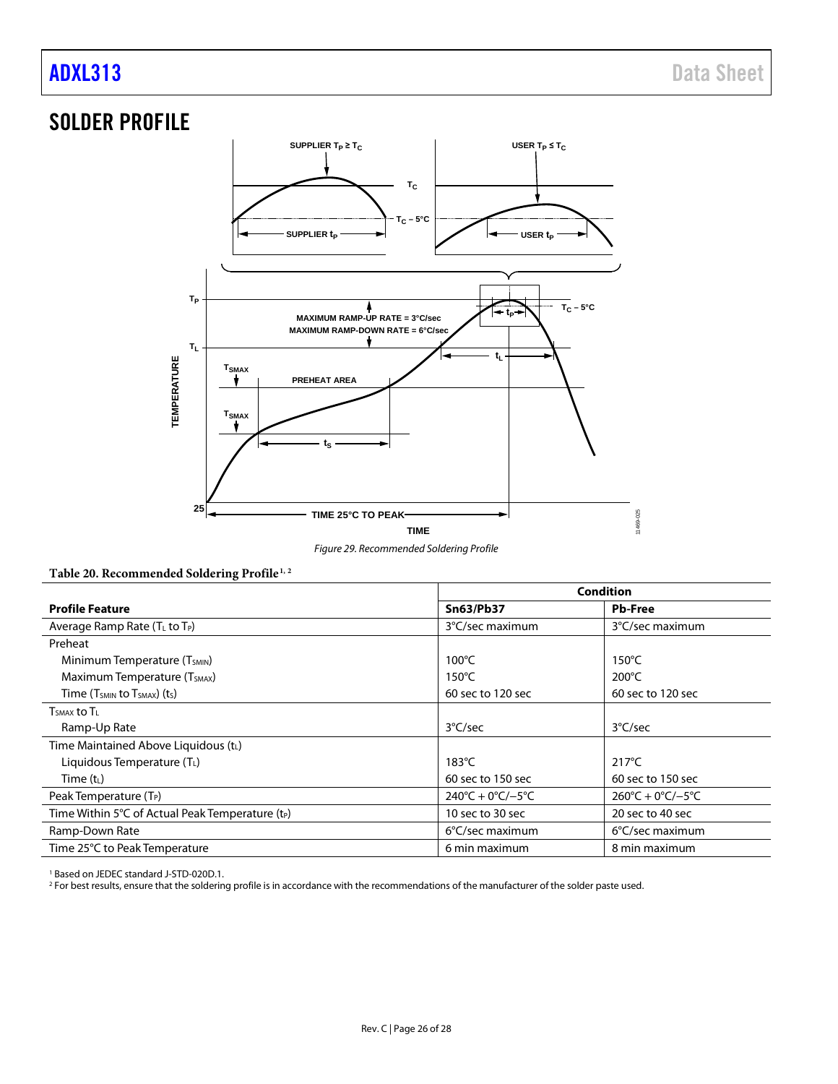## <span id="page-25-0"></span>SOLDER PROFILE



*Figure 29. Recommended Soldering Profile*

#### **Table 20. Recommended Soldering Profile[1](#page-25-1), [2](#page-25-2)**

|                                                              | <b>Condition</b>                        |                                         |  |
|--------------------------------------------------------------|-----------------------------------------|-----------------------------------------|--|
| <b>Profile Feature</b>                                       | <b>Sn63/Pb37</b>                        | <b>Pb-Free</b>                          |  |
| Average Ramp Rate (T∟ to T <sub>P</sub> )                    | 3°C/sec maximum                         | 3°C/sec maximum                         |  |
| Preheat                                                      |                                         |                                         |  |
| Minimum Temperature (T <sub>SMIN</sub> )                     | $100^{\circ}$ C                         | $150^{\circ}$ C                         |  |
| Maximum Temperature (T <sub>SMAX</sub> )                     | $150^{\circ}$ C                         | $200^{\circ}$ C                         |  |
| Time $(T_{SMIN}$ to $T_{SMAX}$ ) (ts)                        | 60 sec to 120 sec                       | 60 sec to 120 sec                       |  |
| $TSMAX$ to $TL$                                              |                                         |                                         |  |
| Ramp-Up Rate                                                 | 3°C/sec                                 | $3^{\circ}$ C/sec                       |  |
| Time Maintained Above Liquidous (tL)                         |                                         |                                         |  |
| Liquidous Temperature $(T_L)$                                | $183^{\circ}$ C                         | $217^{\circ}$ C                         |  |
| Time $(t_L)$                                                 | 60 sec to 150 sec                       | 60 sec to 150 sec                       |  |
| Peak Temperature (T <sub>P</sub> )                           | $240^{\circ}C + 0^{\circ}C/-5^{\circ}C$ | $260^{\circ}C + 0^{\circ}C/-5^{\circ}C$ |  |
| Time Within 5°C of Actual Peak Temperature (t <sub>P</sub> ) | 10 sec to 30 sec                        | 20 sec to 40 sec                        |  |
| Ramp-Down Rate                                               | $6^{\circ}$ C/sec maximum               | 6°C/sec maximum                         |  |
| Time 25°C to Peak Temperature                                | 6 min maximum                           | 8 min maximum                           |  |

<span id="page-25-1"></span><sup>1</sup> Based on JEDEC standard J-STD-020D.1.

<span id="page-25-2"></span><sup>2</sup> For best results, ensure that the soldering profile is in accordance with the recommendations of the manufacturer of the solder paste used.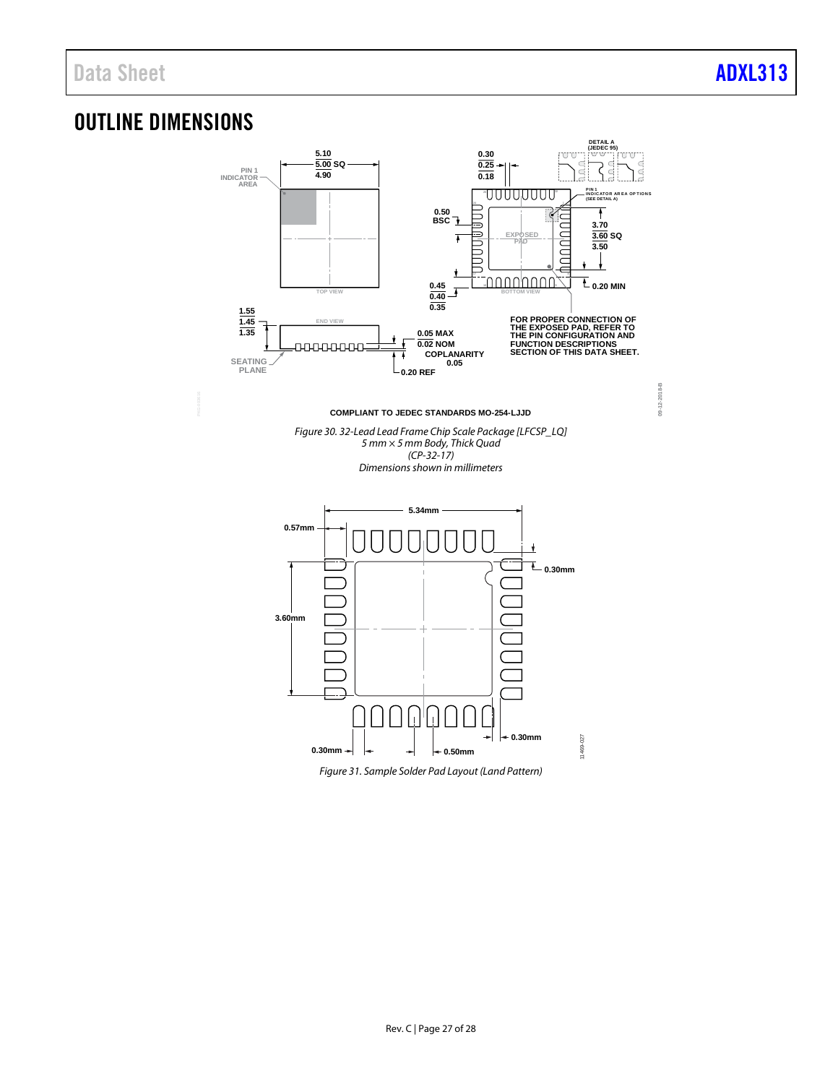**09-12-2018-B**

 $09 - 12 - 2018 - B$ 

## <span id="page-26-0"></span>OUTLINE DIMENSIONS



*Figure 31. Sample Solder Pad Layout (Land Pattern)*